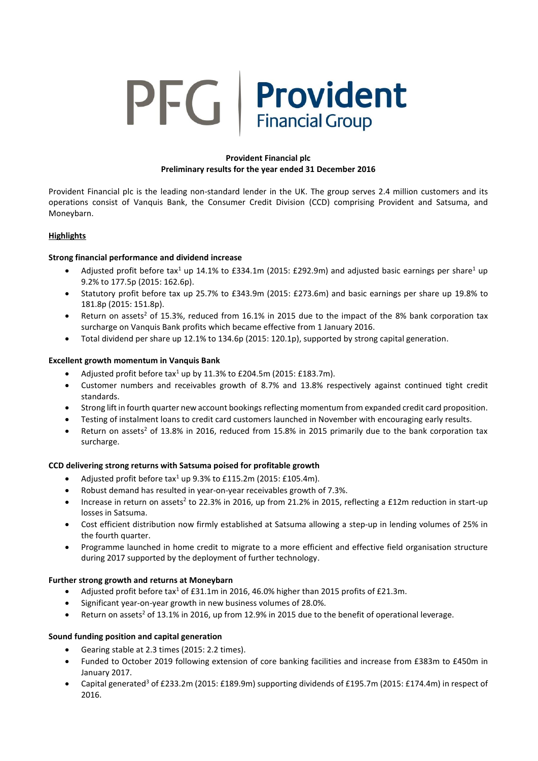# **PFG** Provident

# **Provident Financial plc Preliminary results for the year ended 31 December 2016**

Provident Financial plc is the leading non-standard lender in the UK. The group serves 2.4 million customers and its operations consist of Vanquis Bank, the Consumer Credit Division (CCD) comprising Provident and Satsuma, and Moneybarn.

# **Highlights**

# **Strong financial performance and dividend increase**

- Adjusted profit before tax<sup>1</sup> up 14.1% to £334.1m (2015: £292.9m) and adjusted basic earnings per share<sup>1</sup> up 9.2% to 177.5p (2015: 162.6p).
- Statutory profit before tax up 25.7% to £343.9m (2015: £273.6m) and basic earnings per share up 19.8% to 181.8p (2015: 151.8p).
- **•** Return on assets<sup>2</sup> of 15.3%, reduced from 16.1% in 2015 due to the impact of the 8% bank corporation tax surcharge on Vanquis Bank profits which became effective from 1 January 2016.
- Total dividend per share up 12.1% to 134.6p (2015: 120.1p), supported by strong capital generation.

# **Excellent growth momentum in Vanquis Bank**

- Adjusted profit before tax<sup>1</sup> up by 11.3% to £204.5m (2015: £183.7m).
- Customer numbers and receivables growth of 8.7% and 13.8% respectively against continued tight credit standards.
- Strong lift in fourth quarter new account bookings reflecting momentum from expanded credit card proposition.
- Testing of instalment loans to credit card customers launched in November with encouraging early results.
- Return on assets<sup>2</sup> of 13.8% in 2016, reduced from 15.8% in 2015 primarily due to the bank corporation tax surcharge.

# **CCD delivering strong returns with Satsuma poised for profitable growth**

- Adjusted profit before  $\text{tax}^1$  up 9.3% to £115.2m (2015: £105.4m).
- Robust demand has resulted in year-on-year receivables growth of 7.3%.
- Increase in return on assets<sup>2</sup> to 22.3% in 2016, up from 21.2% in 2015, reflecting a £12m reduction in start-up losses in Satsuma.
- Cost efficient distribution now firmly established at Satsuma allowing a step-up in lending volumes of 25% in the fourth quarter.
- Programme launched in home credit to migrate to a more efficient and effective field organisation structure during 2017 supported by the deployment of further technology.

# **Further strong growth and returns at Moneybarn**

- Adjusted profit before tax<sup>1</sup> of £31.1m in 2016, 46.0% higher than 2015 profits of £21.3m.
- Significant year-on-year growth in new business volumes of 28.0%.
- Return on assets<sup>2</sup> of 13.1% in 2016, up from 12.9% in 2015 due to the benefit of operational leverage.

# **Sound funding position and capital generation**

- Gearing stable at 2.3 times (2015: 2.2 times).
- Funded to October 2019 following extension of core banking facilities and increase from £383m to £450m in January 2017.
- Capital generated<sup>3</sup> of £233.2m (2015: £189.9m) supporting dividends of £195.7m (2015: £174.4m) in respect of 2016.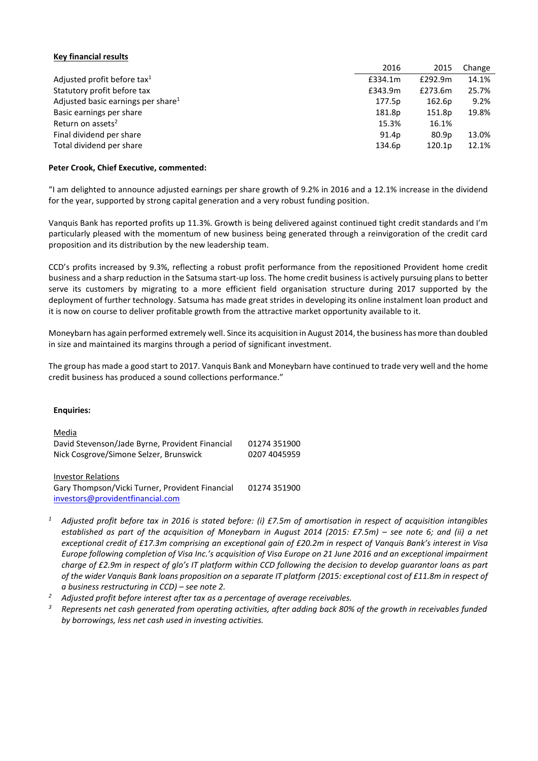## **Key financial results**

|                                                | 2016    | 2015              | Change |
|------------------------------------------------|---------|-------------------|--------|
| Adjusted profit before tax <sup>1</sup>        | £334.1m | £292.9m           | 14.1%  |
| Statutory profit before tax                    | £343.9m | £273.6m           | 25.7%  |
| Adjusted basic earnings per share <sup>1</sup> | 177.5p  | 162.6p            | 9.2%   |
| Basic earnings per share                       | 181.8p  | 151.8p            | 19.8%  |
| Return on assets <sup>2</sup>                  | 15.3%   | 16.1%             |        |
| Final dividend per share                       | 91.4p   | 80.9 <sub>p</sub> | 13.0%  |
| Total dividend per share                       | 134.6p  | 120.1p            | 12.1%  |

### **Peter Crook, Chief Executive, commented:**

"I am delighted to announce adjusted earnings per share growth of 9.2% in 2016 and a 12.1% increase in the dividend for the year, supported by strong capital generation and a very robust funding position.

Vanquis Bank has reported profits up 11.3%. Growth is being delivered against continued tight credit standards and I'm particularly pleased with the momentum of new business being generated through a reinvigoration of the credit card proposition and its distribution by the new leadership team.

CCD's profits increased by 9.3%, reflecting a robust profit performance from the repositioned Provident home credit business and a sharp reduction in the Satsuma start-up loss. The home credit business is actively pursuing plans to better serve its customers by migrating to a more efficient field organisation structure during 2017 supported by the deployment of further technology. Satsuma has made great strides in developing its online instalment loan product and it is now on course to deliver profitable growth from the attractive market opportunity available to it.

Moneybarn has again performed extremely well. Since its acquisition in August 2014, the business has more than doubled in size and maintained its margins through a period of significant investment.

The group has made a good start to 2017. Vanquis Bank and Moneybarn have continued to trade very well and the home credit business has produced a sound collections performance."

### **Enquiries:**

# Media David Stevenson/Jade Byrne, Provident Financial 01274 351900 Nick Cosgrove/Simone Selzer, Brunswick 0207 4045959

Investor Relations

Gary Thompson/Vicki Turner, Provident Financial 01274 351900 [investors@providentfinancial.com](mailto:investors@providentfinancial.com)

- *<sup>1</sup> Adjusted profit before tax in 2016 is stated before: (i) £7.5m of amortisation in respect of acquisition intangibles established as part of the acquisition of Moneybarn in August 2014 (2015: £7.5m) – see note 6; and (ii) a net exceptional credit of £17.3m comprising an exceptional gain of £20.2m in respect of Vanquis Bank's interest in Visa Europe following completion of Visa Inc.'s acquisition of Visa Europe on 21 June 2016 and an exceptional impairment charge of £2.9m in respect of glo's IT platform within CCD following the decision to develop guarantor loans as part of the wider Vanquis Bank loans proposition on a separate IT platform (2015: exceptional cost of £11.8m in respect of a business restructuring in CCD) – see note 2.*
- *<sup>2</sup> Adjusted profit before interest after tax as a percentage of average receivables.*
- *<sup>3</sup> Represents net cash generated from operating activities, after adding back 80% of the growth in receivables funded by borrowings, less net cash used in investing activities.*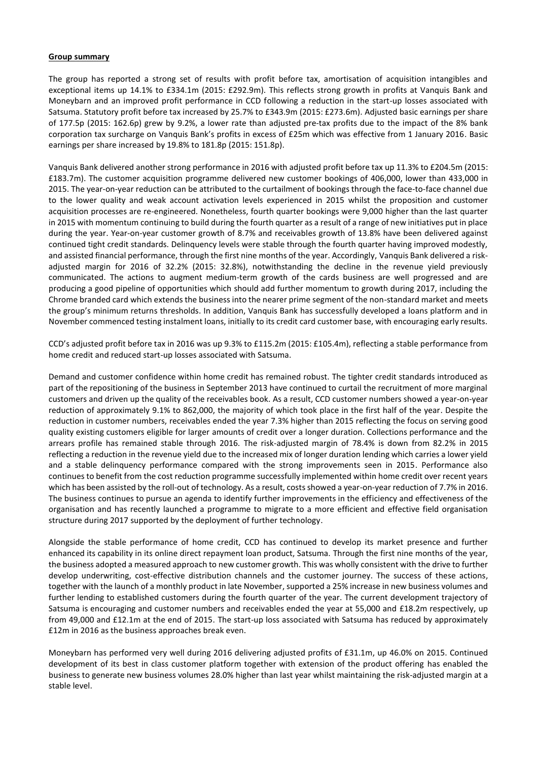### **Group summary**

The group has reported a strong set of results with profit before tax, amortisation of acquisition intangibles and exceptional items up 14.1% to £334.1m (2015: £292.9m). This reflects strong growth in profits at Vanquis Bank and Moneybarn and an improved profit performance in CCD following a reduction in the start-up losses associated with Satsuma. Statutory profit before tax increased by 25.7% to £343.9m (2015: £273.6m). Adjusted basic earnings per share of 177.5p (2015: 162.6p) grew by 9.2%, a lower rate than adjusted pre-tax profits due to the impact of the 8% bank corporation tax surcharge on Vanquis Bank's profits in excess of £25m which was effective from 1 January 2016. Basic earnings per share increased by 19.8% to 181.8p (2015: 151.8p).

Vanquis Bank delivered another strong performance in 2016 with adjusted profit before tax up 11.3% to £204.5m (2015: £183.7m). The customer acquisition programme delivered new customer bookings of 406,000, lower than 433,000 in 2015. The year-on-year reduction can be attributed to the curtailment of bookings through the face-to-face channel due to the lower quality and weak account activation levels experienced in 2015 whilst the proposition and customer acquisition processes are re-engineered. Nonetheless, fourth quarter bookings were 9,000 higher than the last quarter in 2015 with momentum continuing to build during the fourth quarter as a result of a range of new initiatives put in place during the year. Year-on-year customer growth of 8.7% and receivables growth of 13.8% have been delivered against continued tight credit standards. Delinquency levels were stable through the fourth quarter having improved modestly, and assisted financial performance, through the first nine months of the year. Accordingly, Vanquis Bank delivered a riskadjusted margin for 2016 of 32.2% (2015: 32.8%), notwithstanding the decline in the revenue yield previously communicated. The actions to augment medium-term growth of the cards business are well progressed and are producing a good pipeline of opportunities which should add further momentum to growth during 2017, including the Chrome branded card which extends the business into the nearer prime segment of the non-standard market and meets the group's minimum returns thresholds. In addition, Vanquis Bank has successfully developed a loans platform and in November commenced testing instalment loans, initially to its credit card customer base, with encouraging early results.

CCD's adjusted profit before tax in 2016 was up 9.3% to £115.2m (2015: £105.4m), reflecting a stable performance from home credit and reduced start-up losses associated with Satsuma.

Demand and customer confidence within home credit has remained robust. The tighter credit standards introduced as part of the repositioning of the business in September 2013 have continued to curtail the recruitment of more marginal customers and driven up the quality of the receivables book. As a result, CCD customer numbers showed a year-on-year reduction of approximately 9.1% to 862,000, the majority of which took place in the first half of the year. Despite the reduction in customer numbers, receivables ended the year 7.3% higher than 2015 reflecting the focus on serving good quality existing customers eligible for larger amounts of credit over a longer duration. Collections performance and the arrears profile has remained stable through 2016. The risk-adjusted margin of 78.4% is down from 82.2% in 2015 reflecting a reduction in the revenue yield due to the increased mix of longer duration lending which carries a lower yield and a stable delinquency performance compared with the strong improvements seen in 2015. Performance also continues to benefit from the cost reduction programme successfully implemented within home credit over recent years which has been assisted by the roll-out of technology. As a result, costs showed a year-on-year reduction of 7.7% in 2016. The business continues to pursue an agenda to identify further improvements in the efficiency and effectiveness of the organisation and has recently launched a programme to migrate to a more efficient and effective field organisation structure during 2017 supported by the deployment of further technology.

Alongside the stable performance of home credit, CCD has continued to develop its market presence and further enhanced its capability in its online direct repayment loan product, Satsuma. Through the first nine months of the year, the business adopted a measured approach to new customer growth. This was wholly consistent with the drive to further develop underwriting, cost-effective distribution channels and the customer journey. The success of these actions, together with the launch of a monthly product in late November, supported a 25% increase in new business volumes and further lending to established customers during the fourth quarter of the year. The current development trajectory of Satsuma is encouraging and customer numbers and receivables ended the year at 55,000 and £18.2m respectively, up from 49,000 and £12.1m at the end of 2015. The start-up loss associated with Satsuma has reduced by approximately £12m in 2016 as the business approaches break even.

Moneybarn has performed very well during 2016 delivering adjusted profits of £31.1m, up 46.0% on 2015. Continued development of its best in class customer platform together with extension of the product offering has enabled the business to generate new business volumes 28.0% higher than last year whilst maintaining the risk-adjusted margin at a stable level.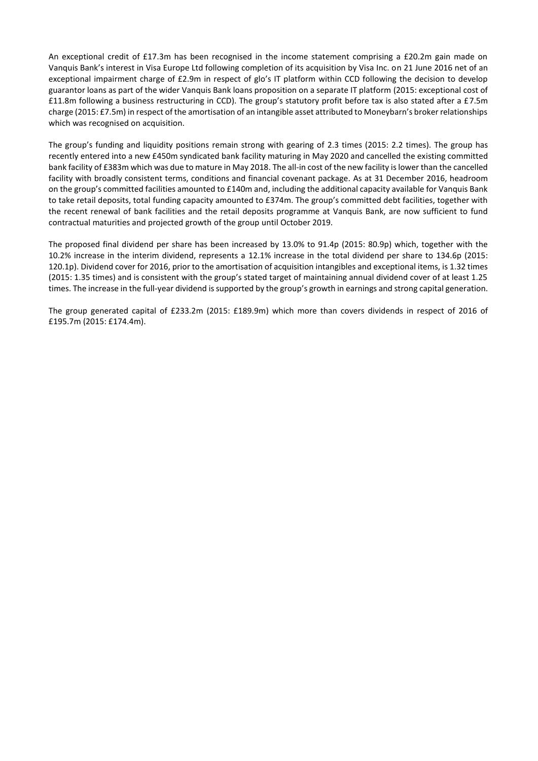An exceptional credit of £17.3m has been recognised in the income statement comprising a £20.2m gain made on Vanquis Bank's interest in Visa Europe Ltd following completion of its acquisition by Visa Inc. on 21 June 2016 net of an exceptional impairment charge of £2.9m in respect of glo's IT platform within CCD following the decision to develop guarantor loans as part of the wider Vanquis Bank loans proposition on a separate IT platform (2015: exceptional cost of £11.8m following a business restructuring in CCD). The group's statutory profit before tax is also stated after a £7.5m charge (2015: £7.5m) in respect of the amortisation of an intangible asset attributed to Moneybarn's broker relationships which was recognised on acquisition.

The group's funding and liquidity positions remain strong with gearing of 2.3 times (2015: 2.2 times). The group has recently entered into a new £450m syndicated bank facility maturing in May 2020 and cancelled the existing committed bank facility of £383m which was due to mature in May 2018. The all-in cost of the new facility is lower than the cancelled facility with broadly consistent terms, conditions and financial covenant package. As at 31 December 2016, headroom on the group's committed facilities amounted to £140m and, including the additional capacity available for Vanquis Bank to take retail deposits, total funding capacity amounted to £374m. The group's committed debt facilities, together with the recent renewal of bank facilities and the retail deposits programme at Vanquis Bank, are now sufficient to fund contractual maturities and projected growth of the group until October 2019.

The proposed final dividend per share has been increased by 13.0% to 91.4p (2015: 80.9p) which, together with the 10.2% increase in the interim dividend, represents a 12.1% increase in the total dividend per share to 134.6p (2015: 120.1p). Dividend cover for 2016, prior to the amortisation of acquisition intangibles and exceptional items, is 1.32 times (2015: 1.35 times) and is consistent with the group's stated target of maintaining annual dividend cover of at least 1.25 times. The increase in the full-year dividend is supported by the group's growth in earnings and strong capital generation.

The group generated capital of £233.2m (2015: £189.9m) which more than covers dividends in respect of 2016 of £195.7m (2015: £174.4m).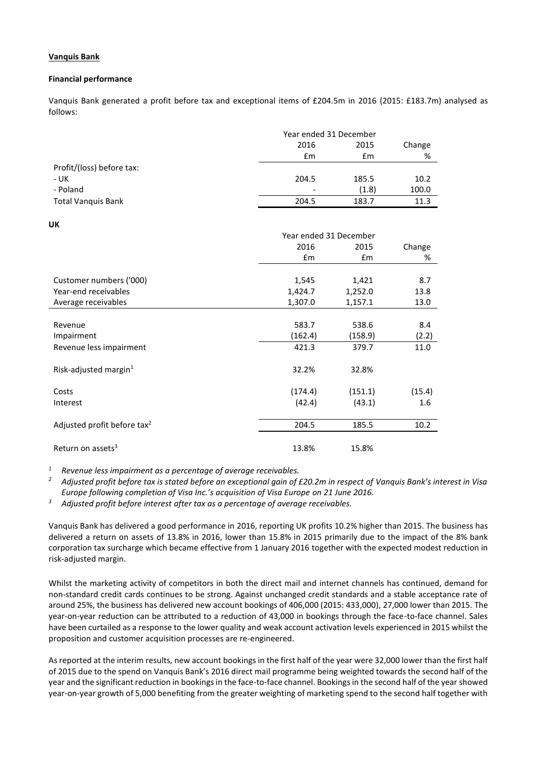# **Vanquis Bank**

### **Financial performance**

Vanquis Bank generated a profit before tax and exceptional items of £204.5m in 2016 (2015: £183.7m) analysed as follows:

|                           |       | Year ended 31 December |       |  |
|---------------------------|-------|------------------------|-------|--|
|                           | 2016  | 2015                   |       |  |
|                           | £m    | £m                     | %     |  |
| Profit/(loss) before tax: |       |                        |       |  |
| - UK                      | 204.5 | 185.5                  | 10.2  |  |
| - Poland                  | -     | (1.8)                  | 100.0 |  |
| <b>Total Vanquis Bank</b> | 204.5 | 183.7                  | 11.3  |  |

**UK**

|                                         | Year ended 31 December |               |        |
|-----------------------------------------|------------------------|---------------|--------|
|                                         | 2016                   | 2015          | Change |
|                                         | £m                     | $\mathsf{fm}$ | %      |
|                                         |                        |               |        |
| Customer numbers ('000)                 | 1,545                  | 1,421         | 8.7    |
| Year-end receivables                    | 1,424.7                | 1,252.0       | 13.8   |
| Average receivables                     | 1,307.0                | 1,157.1       | 13.0   |
|                                         |                        |               |        |
| Revenue                                 | 583.7                  | 538.6         | 8.4    |
| Impairment                              | (162.4)                | (158.9)       | (2.2)  |
| Revenue less impairment                 | 421.3                  | 379.7         | 11.0   |
|                                         |                        |               |        |
| Risk-adjusted margin $1$                | 32.2%                  | 32.8%         |        |
|                                         |                        |               |        |
| Costs                                   | (174.4)                | (151.1)       | (15.4) |
| Interest                                | (42.4)                 | (43.1)        | 1.6    |
| Adjusted profit before tax <sup>2</sup> | 204.5                  | 185.5         | 10.2   |
|                                         |                        |               |        |
| Return on assets <sup>3</sup>           | 13.8%                  | 15.8%         |        |

*<sup>1</sup> Revenue less impairment as a percentage of average receivables.*

*<sup>2</sup> Adjusted profit before tax is stated before an exceptional gain of £20.2m in respect of Vanquis Bank's interest in Visa Europe following completion of Visa Inc.'s acquisition of Visa Europe on 21 June 2016.*

*<sup>3</sup> Adjusted profit before interest after tax as a percentage of average receivables.*

Vanquis Bank has delivered a good performance in 2016, reporting UK profits 10.2% higher than 2015. The business has delivered a return on assets of 13.8% in 2016, lower than 15.8% in 2015 primarily due to the impact of the 8% bank corporation tax surcharge which became effective from 1 January 2016 together with the expected modest reduction in risk-adjusted margin.

Whilst the marketing activity of competitors in both the direct mail and internet channels has continued, demand for non-standard credit cards continues to be strong. Against unchanged credit standards and a stable acceptance rate of around 25%, the business has delivered new account bookings of 406,000 (2015: 433,000), 27,000 lower than 2015. The year-on-year reduction can be attributed to a reduction of 43,000 in bookings through the face-to-face channel. Sales have been curtailed as a response to the lower quality and weak account activation levels experienced in 2015 whilst the proposition and customer acquisition processes are re-engineered.

As reported at the interim results, new account bookings in the first half of the year were 32,000 lower than the first half of 2015 due to the spend on Vanquis Bank's 2016 direct mail programme being weighted towards the second half of the year and the significant reduction in bookings in the face-to-face channel. Bookings in the second half of the year showed year-on-year growth of 5,000 benefiting from the greater weighting of marketing spend to the second half together with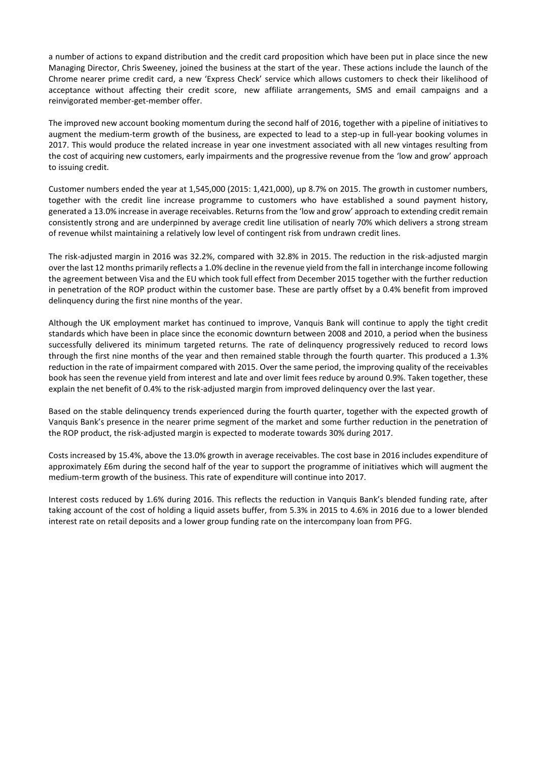a number of actions to expand distribution and the credit card proposition which have been put in place since the new Managing Director, Chris Sweeney, joined the business at the start of the year. These actions include the launch of the Chrome nearer prime credit card, a new 'Express Check' service which allows customers to check their likelihood of acceptance without affecting their credit score, new affiliate arrangements, SMS and email campaigns and a reinvigorated member-get-member offer.

The improved new account booking momentum during the second half of 2016, together with a pipeline of initiatives to augment the medium-term growth of the business, are expected to lead to a step-up in full-year booking volumes in 2017. This would produce the related increase in year one investment associated with all new vintages resulting from the cost of acquiring new customers, early impairments and the progressive revenue from the 'low and grow' approach to issuing credit.

Customer numbers ended the year at 1,545,000 (2015: 1,421,000), up 8.7% on 2015. The growth in customer numbers, together with the credit line increase programme to customers who have established a sound payment history, generated a 13.0% increase in average receivables. Returns from the 'low and grow' approach to extending credit remain consistently strong and are underpinned by average credit line utilisation of nearly 70% which delivers a strong stream of revenue whilst maintaining a relatively low level of contingent risk from undrawn credit lines.

The risk-adjusted margin in 2016 was 32.2%, compared with 32.8% in 2015. The reduction in the risk-adjusted margin over the last 12 months primarily reflects a 1.0% decline in the revenue yield from the fall in interchange income following the agreement between Visa and the EU which took full effect from December 2015 together with the further reduction in penetration of the ROP product within the customer base. These are partly offset by a 0.4% benefit from improved delinquency during the first nine months of the year.

Although the UK employment market has continued to improve, Vanquis Bank will continue to apply the tight credit standards which have been in place since the economic downturn between 2008 and 2010, a period when the business successfully delivered its minimum targeted returns. The rate of delinquency progressively reduced to record lows through the first nine months of the year and then remained stable through the fourth quarter. This produced a 1.3% reduction in the rate of impairment compared with 2015. Over the same period, the improving quality of the receivables book has seen the revenue yield from interest and late and over limit fees reduce by around 0.9%. Taken together, these explain the net benefit of 0.4% to the risk-adjusted margin from improved delinquency over the last year.

Based on the stable delinquency trends experienced during the fourth quarter, together with the expected growth of Vanquis Bank's presence in the nearer prime segment of the market and some further reduction in the penetration of the ROP product, the risk-adjusted margin is expected to moderate towards 30% during 2017.

Costs increased by 15.4%, above the 13.0% growth in average receivables. The cost base in 2016 includes expenditure of approximately £6m during the second half of the year to support the programme of initiatives which will augment the medium-term growth of the business. This rate of expenditure will continue into 2017.

Interest costs reduced by 1.6% during 2016. This reflects the reduction in Vanquis Bank's blended funding rate, after taking account of the cost of holding a liquid assets buffer, from 5.3% in 2015 to 4.6% in 2016 due to a lower blended interest rate on retail deposits and a lower group funding rate on the intercompany loan from PFG.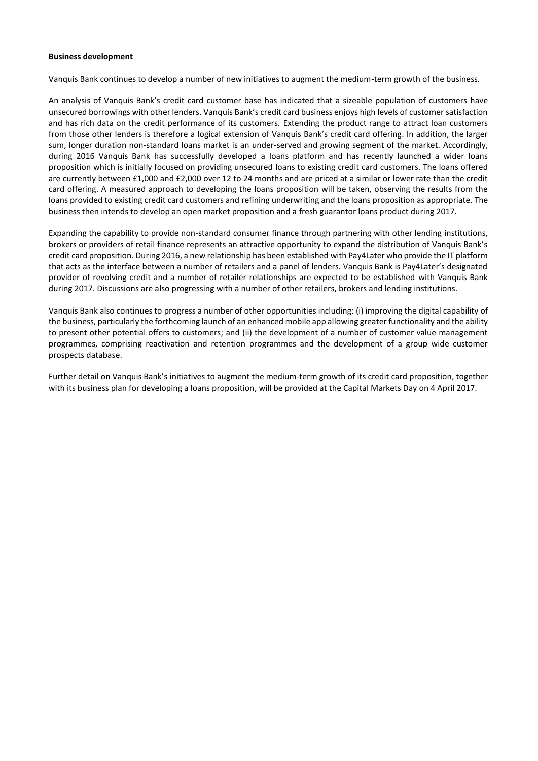### **Business development**

Vanquis Bank continues to develop a number of new initiatives to augment the medium-term growth of the business.

An analysis of Vanquis Bank's credit card customer base has indicated that a sizeable population of customers have unsecured borrowings with other lenders. Vanquis Bank's credit card business enjoys high levels of customer satisfaction and has rich data on the credit performance of its customers. Extending the product range to attract loan customers from those other lenders is therefore a logical extension of Vanquis Bank's credit card offering. In addition, the larger sum, longer duration non-standard loans market is an under-served and growing segment of the market. Accordingly, during 2016 Vanquis Bank has successfully developed a loans platform and has recently launched a wider loans proposition which is initially focused on providing unsecured loans to existing credit card customers. The loans offered are currently between £1,000 and £2,000 over 12 to 24 months and are priced at a similar or lower rate than the credit card offering. A measured approach to developing the loans proposition will be taken, observing the results from the loans provided to existing credit card customers and refining underwriting and the loans proposition as appropriate. The business then intends to develop an open market proposition and a fresh guarantor loans product during 2017.

Expanding the capability to provide non-standard consumer finance through partnering with other lending institutions, brokers or providers of retail finance represents an attractive opportunity to expand the distribution of Vanquis Bank's credit card proposition. During 2016, a new relationship has been established with Pay4Later who provide the IT platform that acts as the interface between a number of retailers and a panel of lenders. Vanquis Bank is Pay4Later's designated provider of revolving credit and a number of retailer relationships are expected to be established with Vanquis Bank during 2017. Discussions are also progressing with a number of other retailers, brokers and lending institutions.

Vanquis Bank also continues to progress a number of other opportunities including: (i) improving the digital capability of the business, particularly the forthcoming launch of an enhanced mobile app allowing greater functionality and the ability to present other potential offers to customers; and (ii) the development of a number of customer value management programmes, comprising reactivation and retention programmes and the development of a group wide customer prospects database.

Further detail on Vanquis Bank's initiatives to augment the medium-term growth of its credit card proposition, together with its business plan for developing a loans proposition, will be provided at the Capital Markets Day on 4 April 2017.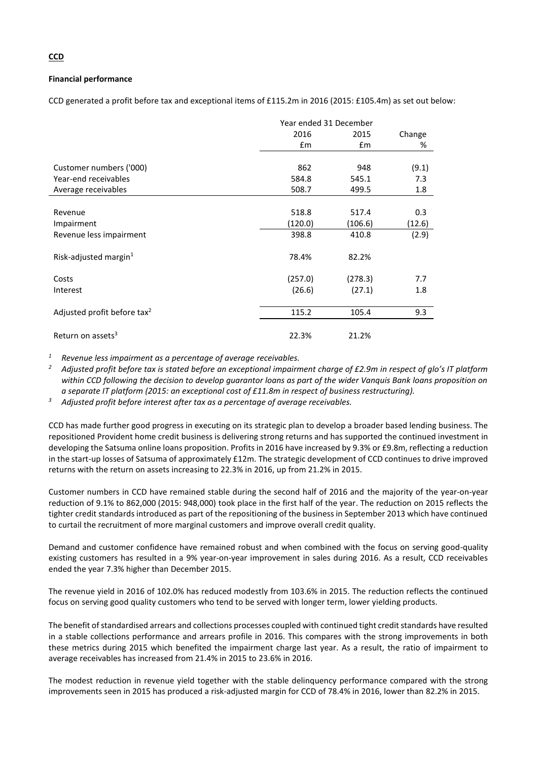# **Financial performance**

CCD generated a profit before tax and exceptional items of £115.2m in 2016 (2015: £105.4m) as set out below:

|                                         | Year ended 31 December |               |        |
|-----------------------------------------|------------------------|---------------|--------|
|                                         | 2016                   | 2015          | Change |
|                                         | $\mathsf{fm}$          | $\mathsf{fm}$ | %      |
|                                         |                        |               |        |
| Customer numbers ('000)                 | 862                    | 948           | (9.1)  |
| Year-end receivables                    | 584.8                  | 545.1         | 7.3    |
| Average receivables                     | 508.7                  | 499.5         | 1.8    |
|                                         |                        |               |        |
| Revenue                                 | 518.8                  | 517.4         | 0.3    |
| Impairment                              | (120.0)                | (106.6)       | (12.6) |
| Revenue less impairment                 | 398.8                  | 410.8         | (2.9)  |
| Risk-adjusted margin $1$                | 78.4%                  | 82.2%         |        |
| Costs                                   | (257.0)                | (278.3)       | 7.7    |
| Interest                                | (26.6)                 | (27.1)        | 1.8    |
| Adjusted profit before tax <sup>2</sup> | 115.2                  | 105.4         | 9.3    |
| Return on assets <sup>3</sup>           | 22.3%                  | 21.2%         |        |

*<sup>1</sup> Revenue less impairment as a percentage of average receivables.*

<sup>2</sup> Adjusted profit before tax is stated before an exceptional impairment charge of £2.9m in respect of glo's IT platform *within CCD following the decision to develop guarantor loans as part of the wider Vanquis Bank loans proposition on a separate IT platform (2015: an exceptional cost of £11.8m in respect of business restructuring).*

*<sup>3</sup> Adjusted profit before interest after tax as a percentage of average receivables.*

CCD has made further good progress in executing on its strategic plan to develop a broader based lending business. The repositioned Provident home credit business is delivering strong returns and has supported the continued investment in developing the Satsuma online loans proposition. Profits in 2016 have increased by 9.3% or £9.8m, reflecting a reduction in the start-up losses of Satsuma of approximately £12m. The strategic development of CCD continues to drive improved returns with the return on assets increasing to 22.3% in 2016, up from 21.2% in 2015.

Customer numbers in CCD have remained stable during the second half of 2016 and the majority of the year-on-year reduction of 9.1% to 862,000 (2015: 948,000) took place in the first half of the year. The reduction on 2015 reflects the tighter credit standards introduced as part of the repositioning of the business in September 2013 which have continued to curtail the recruitment of more marginal customers and improve overall credit quality.

Demand and customer confidence have remained robust and when combined with the focus on serving good-quality existing customers has resulted in a 9% year-on-year improvement in sales during 2016. As a result, CCD receivables ended the year 7.3% higher than December 2015.

The revenue yield in 2016 of 102.0% has reduced modestly from 103.6% in 2015. The reduction reflects the continued focus on serving good quality customers who tend to be served with longer term, lower yielding products.

The benefit of standardised arrears and collections processes coupled with continued tight credit standards have resulted in a stable collections performance and arrears profile in 2016. This compares with the strong improvements in both these metrics during 2015 which benefited the impairment charge last year. As a result, the ratio of impairment to average receivables has increased from 21.4% in 2015 to 23.6% in 2016.

The modest reduction in revenue yield together with the stable delinquency performance compared with the strong improvements seen in 2015 has produced a risk-adjusted margin for CCD of 78.4% in 2016, lower than 82.2% in 2015.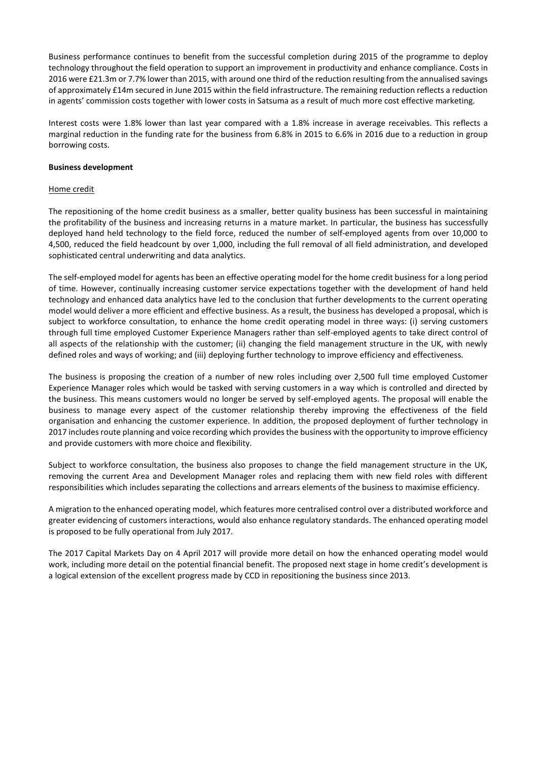Business performance continues to benefit from the successful completion during 2015 of the programme to deploy technology throughout the field operation to support an improvement in productivity and enhance compliance. Costs in 2016 were £21.3m or 7.7% lower than 2015, with around one third of the reduction resulting from the annualised savings of approximately £14m secured in June 2015 within the field infrastructure. The remaining reduction reflects a reduction in agents' commission costs together with lower costs in Satsuma as a result of much more cost effective marketing.

Interest costs were 1.8% lower than last year compared with a 1.8% increase in average receivables. This reflects a marginal reduction in the funding rate for the business from 6.8% in 2015 to 6.6% in 2016 due to a reduction in group borrowing costs.

## **Business development**

## Home credit

The repositioning of the home credit business as a smaller, better quality business has been successful in maintaining the profitability of the business and increasing returns in a mature market. In particular, the business has successfully deployed hand held technology to the field force, reduced the number of self-employed agents from over 10,000 to 4,500, reduced the field headcount by over 1,000, including the full removal of all field administration, and developed sophisticated central underwriting and data analytics.

The self-employed model for agents has been an effective operating model for the home credit business for a long period of time. However, continually increasing customer service expectations together with the development of hand held technology and enhanced data analytics have led to the conclusion that further developments to the current operating model would deliver a more efficient and effective business. As a result, the business has developed a proposal, which is subject to workforce consultation, to enhance the home credit operating model in three ways: (i) serving customers through full time employed Customer Experience Managers rather than self-employed agents to take direct control of all aspects of the relationship with the customer; (ii) changing the field management structure in the UK, with newly defined roles and ways of working; and (iii) deploying further technology to improve efficiency and effectiveness.

The business is proposing the creation of a number of new roles including over 2,500 full time employed Customer Experience Manager roles which would be tasked with serving customers in a way which is controlled and directed by the business. This means customers would no longer be served by self-employed agents. The proposal will enable the business to manage every aspect of the customer relationship thereby improving the effectiveness of the field organisation and enhancing the customer experience. In addition, the proposed deployment of further technology in 2017 includes route planning and voice recording which provides the business with the opportunity to improve efficiency and provide customers with more choice and flexibility.

Subject to workforce consultation, the business also proposes to change the field management structure in the UK, removing the current Area and Development Manager roles and replacing them with new field roles with different responsibilities which includes separating the collections and arrears elements of the business to maximise efficiency.

A migration to the enhanced operating model, which features more centralised control over a distributed workforce and greater evidencing of customers interactions, would also enhance regulatory standards. The enhanced operating model is proposed to be fully operational from July 2017.

The 2017 Capital Markets Day on 4 April 2017 will provide more detail on how the enhanced operating model would work, including more detail on the potential financial benefit. The proposed next stage in home credit's development is a logical extension of the excellent progress made by CCD in repositioning the business since 2013.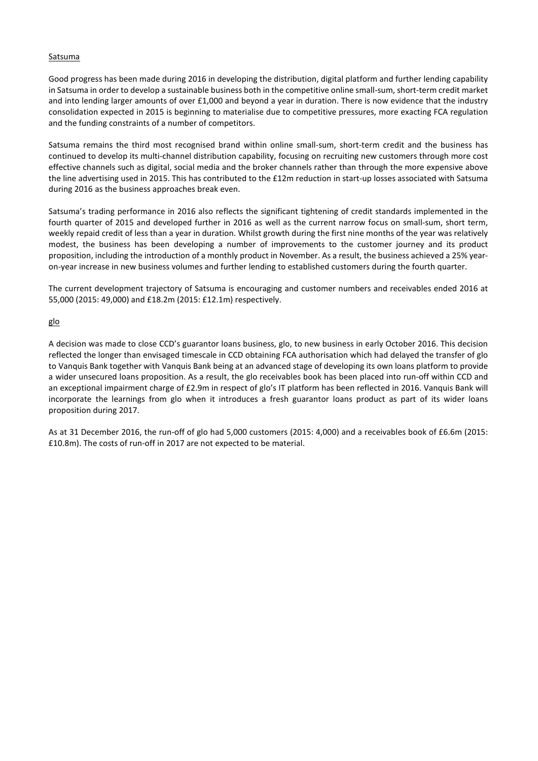# Satsuma

Good progress has been made during 2016 in developing the distribution, digital platform and further lending capability in Satsuma in order to develop a sustainable business both in the competitive online small-sum, short-term credit market and into lending larger amounts of over £1,000 and beyond a year in duration. There is now evidence that the industry consolidation expected in 2015 is beginning to materialise due to competitive pressures, more exacting FCA regulation and the funding constraints of a number of competitors.

Satsuma remains the third most recognised brand within online small-sum, short-term credit and the business has continued to develop its multi-channel distribution capability, focusing on recruiting new customers through more cost effective channels such as digital, social media and the broker channels rather than through the more expensive above the line advertising used in 2015. This has contributed to the £12m reduction in start-up losses associated with Satsuma during 2016 as the business approaches break even.

Satsuma's trading performance in 2016 also reflects the significant tightening of credit standards implemented in the fourth quarter of 2015 and developed further in 2016 as well as the current narrow focus on small-sum, short term, weekly repaid credit of less than a year in duration. Whilst growth during the first nine months of the year was relatively modest, the business has been developing a number of improvements to the customer journey and its product proposition, including the introduction of a monthly product in November. As a result, the business achieved a 25% yearon-year increase in new business volumes and further lending to established customers during the fourth quarter.

The current development trajectory of Satsuma is encouraging and customer numbers and receivables ended 2016 at 55,000 (2015: 49,000) and £18.2m (2015: £12.1m) respectively.

glo

A decision was made to close CCD's guarantor loans business, glo, to new business in early October 2016. This decision reflected the longer than envisaged timescale in CCD obtaining FCA authorisation which had delayed the transfer of glo to Vanquis Bank together with Vanquis Bank being at an advanced stage of developing its own loans platform to provide a wider unsecured loans proposition. As a result, the glo receivables book has been placed into run-off within CCD and an exceptional impairment charge of £2.9m in respect of glo's IT platform has been reflected in 2016. Vanquis Bank will incorporate the learnings from glo when it introduces a fresh guarantor loans product as part of its wider loans proposition during 2017.

As at 31 December 2016, the run-off of glo had 5,000 customers (2015: 4,000) and a receivables book of £6.6m (2015: £10.8m). The costs of run-off in 2017 are not expected to be material.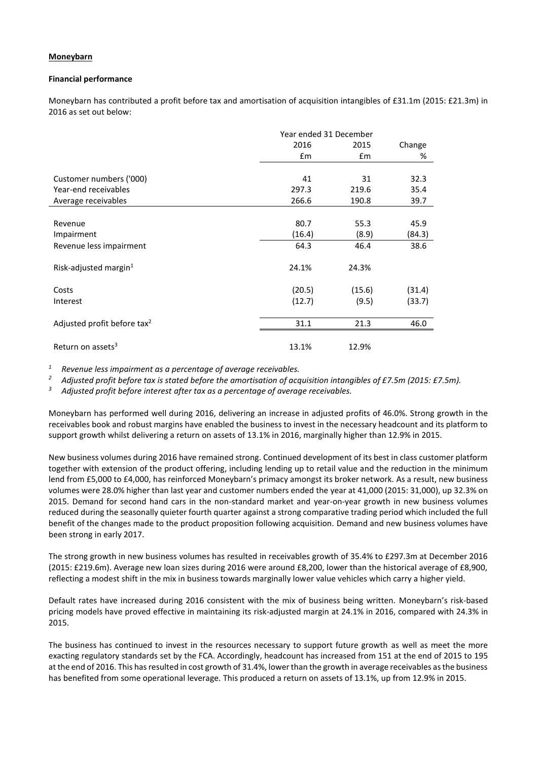## **Moneybarn**

### **Financial performance**

Moneybarn has contributed a profit before tax and amortisation of acquisition intangibles of £31.1m (2015: £21.3m) in 2016 as set out below:

|                                         | Year ended 31 December |        |        |
|-----------------------------------------|------------------------|--------|--------|
|                                         | 2016                   | 2015   | Change |
|                                         | $\mathsf{fm}$          | £m     | %      |
|                                         |                        |        |        |
| Customer numbers ('000)                 | 41                     | 31     | 32.3   |
| Year-end receivables                    | 297.3                  | 219.6  | 35.4   |
| Average receivables                     | 266.6                  | 190.8  | 39.7   |
|                                         |                        |        |        |
| Revenue                                 | 80.7                   | 55.3   | 45.9   |
| Impairment                              | (16.4)                 | (8.9)  | (84.3) |
| Revenue less impairment                 | 64.3                   | 46.4   | 38.6   |
| Risk-adjusted margin $1$                | 24.1%                  | 24.3%  |        |
| Costs                                   | (20.5)                 | (15.6) | (31.4) |
| Interest                                | (12.7)                 | (9.5)  | (33.7) |
| Adjusted profit before tax <sup>2</sup> | 31.1                   | 21.3   | 46.0   |
|                                         |                        |        |        |
| Return on assets <sup>3</sup>           | 13.1%                  | 12.9%  |        |

*<sup>1</sup> Revenue less impairment as a percentage of average receivables.*

*<sup>2</sup> Adjusted profit before tax is stated before the amortisation of acquisition intangibles of £7.5m (2015: £7.5m).*

*<sup>3</sup> Adjusted profit before interest after tax as a percentage of average receivables.*

Moneybarn has performed well during 2016, delivering an increase in adjusted profits of 46.0%. Strong growth in the receivables book and robust margins have enabled the business to invest in the necessary headcount and its platform to support growth whilst delivering a return on assets of 13.1% in 2016, marginally higher than 12.9% in 2015.

New business volumes during 2016 have remained strong. Continued development of its best in class customer platform together with extension of the product offering, including lending up to retail value and the reduction in the minimum lend from £5,000 to £4,000, has reinforced Moneybarn's primacy amongst its broker network. As a result, new business volumes were 28.0% higher than last year and customer numbers ended the year at 41,000 (2015: 31,000), up 32.3% on 2015. Demand for second hand cars in the non-standard market and year-on-year growth in new business volumes reduced during the seasonally quieter fourth quarter against a strong comparative trading period which included the full benefit of the changes made to the product proposition following acquisition. Demand and new business volumes have been strong in early 2017.

The strong growth in new business volumes has resulted in receivables growth of 35.4% to £297.3m at December 2016 (2015: £219.6m). Average new loan sizes during 2016 were around £8,200, lower than the historical average of £8,900, reflecting a modest shift in the mix in business towards marginally lower value vehicles which carry a higher yield.

Default rates have increased during 2016 consistent with the mix of business being written. Moneybarn's risk-based pricing models have proved effective in maintaining its risk-adjusted margin at 24.1% in 2016, compared with 24.3% in 2015.

The business has continued to invest in the resources necessary to support future growth as well as meet the more exacting regulatory standards set by the FCA. Accordingly, headcount has increased from 151 at the end of 2015 to 195 at the end of 2016. This has resulted in cost growth of 31.4%, lower than the growth in average receivables as the business has benefited from some operational leverage. This produced a return on assets of 13.1%, up from 12.9% in 2015.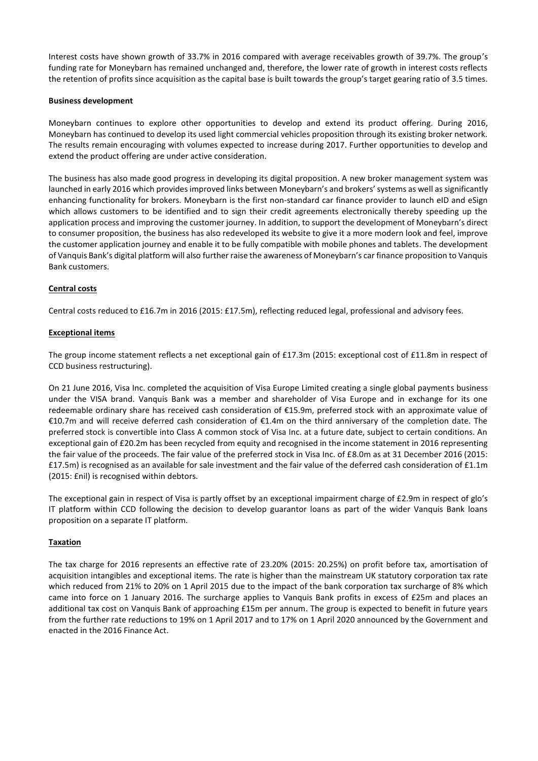Interest costs have shown growth of 33.7% in 2016 compared with average receivables growth of 39.7%. The group's funding rate for Moneybarn has remained unchanged and, therefore, the lower rate of growth in interest costs reflects the retention of profits since acquisition as the capital base is built towards the group's target gearing ratio of 3.5 times.

# **Business development**

Moneybarn continues to explore other opportunities to develop and extend its product offering. During 2016, Moneybarn has continued to develop its used light commercial vehicles proposition through its existing broker network. The results remain encouraging with volumes expected to increase during 2017. Further opportunities to develop and extend the product offering are under active consideration.

The business has also made good progress in developing its digital proposition. A new broker management system was launched in early 2016 which provides improved links between Moneybarn's and brokers' systems as well as significantly enhancing functionality for brokers. Moneybarn is the first non-standard car finance provider to launch eID and eSign which allows customers to be identified and to sign their credit agreements electronically thereby speeding up the application process and improving the customer journey. In addition, to support the development of Moneybarn's direct to consumer proposition, the business has also redeveloped its website to give it a more modern look and feel, improve the customer application journey and enable it to be fully compatible with mobile phones and tablets. The development of Vanquis Bank's digital platform will also further raise the awareness of Moneybarn's car finance proposition to Vanquis Bank customers.

# **Central costs**

Central costs reduced to £16.7m in 2016 (2015: £17.5m), reflecting reduced legal, professional and advisory fees.

# **Exceptional items**

The group income statement reflects a net exceptional gain of £17.3m (2015: exceptional cost of £11.8m in respect of CCD business restructuring).

On 21 June 2016, Visa Inc. completed the acquisition of Visa Europe Limited creating a single global payments business under the VISA brand. Vanquis Bank was a member and shareholder of Visa Europe and in exchange for its one redeemable ordinary share has received cash consideration of €15.9m, preferred stock with an approximate value of €10.7m and will receive deferred cash consideration of €1.4m on the third anniversary of the completion date. The preferred stock is convertible into Class A common stock of Visa Inc. at a future date, subject to certain conditions. An exceptional gain of £20.2m has been recycled from equity and recognised in the income statement in 2016 representing the fair value of the proceeds. The fair value of the preferred stock in Visa Inc. of £8.0m as at 31 December 2016 (2015: £17.5m) is recognised as an available for sale investment and the fair value of the deferred cash consideration of £1.1m (2015: £nil) is recognised within debtors.

The exceptional gain in respect of Visa is partly offset by an exceptional impairment charge of £2.9m in respect of glo's IT platform within CCD following the decision to develop guarantor loans as part of the wider Vanquis Bank loans proposition on a separate IT platform.

# **Taxation**

The tax charge for 2016 represents an effective rate of 23.20% (2015: 20.25%) on profit before tax, amortisation of acquisition intangibles and exceptional items. The rate is higher than the mainstream UK statutory corporation tax rate which reduced from 21% to 20% on 1 April 2015 due to the impact of the bank corporation tax surcharge of 8% which came into force on 1 January 2016. The surcharge applies to Vanquis Bank profits in excess of £25m and places an additional tax cost on Vanquis Bank of approaching £15m per annum. The group is expected to benefit in future years from the further rate reductions to 19% on 1 April 2017 and to 17% on 1 April 2020 announced by the Government and enacted in the 2016 Finance Act.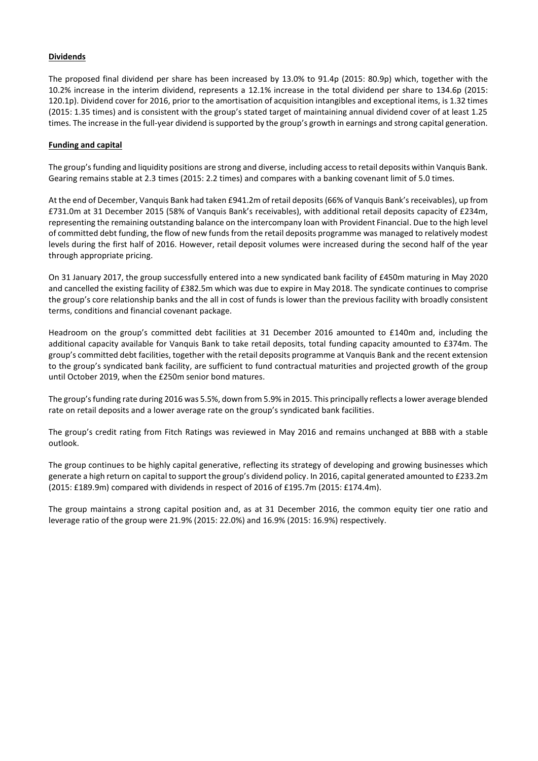# **Dividends**

The proposed final dividend per share has been increased by 13.0% to 91.4p (2015: 80.9p) which, together with the 10.2% increase in the interim dividend, represents a 12.1% increase in the total dividend per share to 134.6p (2015: 120.1p). Dividend cover for 2016, prior to the amortisation of acquisition intangibles and exceptional items, is 1.32 times (2015: 1.35 times) and is consistent with the group's stated target of maintaining annual dividend cover of at least 1.25 times. The increase in the full-year dividend is supported by the group's growth in earnings and strong capital generation.

# **Funding and capital**

The group's funding and liquidity positions are strong and diverse, including access to retail deposits within Vanquis Bank. Gearing remains stable at 2.3 times (2015: 2.2 times) and compares with a banking covenant limit of 5.0 times.

At the end of December, Vanquis Bank had taken £941.2m of retail deposits (66% of Vanquis Bank's receivables), up from £731.0m at 31 December 2015 (58% of Vanquis Bank's receivables), with additional retail deposits capacity of £234m, representing the remaining outstanding balance on the intercompany loan with Provident Financial. Due to the high level of committed debt funding, the flow of new funds from the retail deposits programme was managed to relatively modest levels during the first half of 2016. However, retail deposit volumes were increased during the second half of the year through appropriate pricing.

On 31 January 2017, the group successfully entered into a new syndicated bank facility of £450m maturing in May 2020 and cancelled the existing facility of £382.5m which was due to expire in May 2018. The syndicate continues to comprise the group's core relationship banks and the all in cost of funds is lower than the previous facility with broadly consistent terms, conditions and financial covenant package.

Headroom on the group's committed debt facilities at 31 December 2016 amounted to £140m and, including the additional capacity available for Vanquis Bank to take retail deposits, total funding capacity amounted to £374m. The group's committed debt facilities, together with the retail deposits programme at Vanquis Bank and the recent extension to the group's syndicated bank facility, are sufficient to fund contractual maturities and projected growth of the group until October 2019, when the £250m senior bond matures.

The group's funding rate during 2016 was 5.5%, down from 5.9% in 2015. This principally reflects a lower average blended rate on retail deposits and a lower average rate on the group's syndicated bank facilities.

The group's credit rating from Fitch Ratings was reviewed in May 2016 and remains unchanged at BBB with a stable outlook.

The group continues to be highly capital generative, reflecting its strategy of developing and growing businesses which generate a high return on capital to support the group's dividend policy. In 2016, capital generated amounted to £233.2m (2015: £189.9m) compared with dividends in respect of 2016 of £195.7m (2015: £174.4m).

The group maintains a strong capital position and, as at 31 December 2016, the common equity tier one ratio and leverage ratio of the group were 21.9% (2015: 22.0%) and 16.9% (2015: 16.9%) respectively.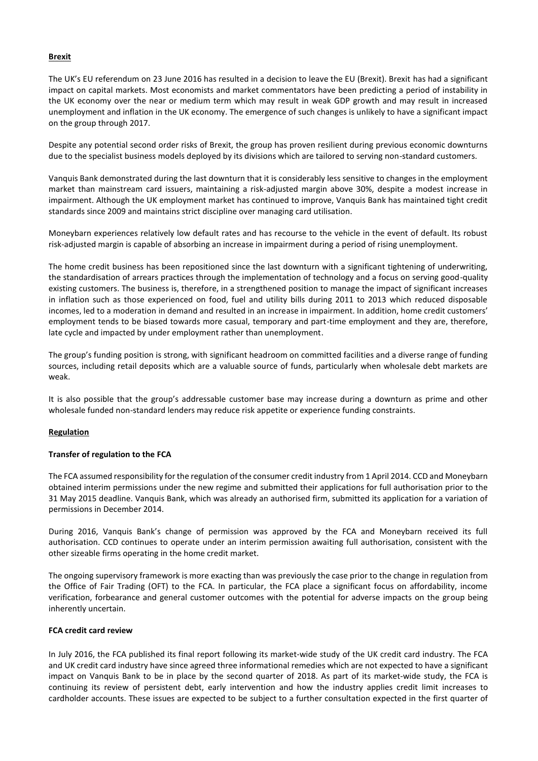### **Brexit**

The UK's EU referendum on 23 June 2016 has resulted in a decision to leave the EU (Brexit). Brexit has had a significant impact on capital markets. Most economists and market commentators have been predicting a period of instability in the UK economy over the near or medium term which may result in weak GDP growth and may result in increased unemployment and inflation in the UK economy. The emergence of such changes is unlikely to have a significant impact on the group through 2017.

Despite any potential second order risks of Brexit, the group has proven resilient during previous economic downturns due to the specialist business models deployed by its divisions which are tailored to serving non-standard customers.

Vanquis Bank demonstrated during the last downturn that it is considerably less sensitive to changes in the employment market than mainstream card issuers, maintaining a risk-adjusted margin above 30%, despite a modest increase in impairment. Although the UK employment market has continued to improve, Vanquis Bank has maintained tight credit standards since 2009 and maintains strict discipline over managing card utilisation.

Moneybarn experiences relatively low default rates and has recourse to the vehicle in the event of default. Its robust risk-adjusted margin is capable of absorbing an increase in impairment during a period of rising unemployment.

The home credit business has been repositioned since the last downturn with a significant tightening of underwriting, the standardisation of arrears practices through the implementation of technology and a focus on serving good-quality existing customers. The business is, therefore, in a strengthened position to manage the impact of significant increases in inflation such as those experienced on food, fuel and utility bills during 2011 to 2013 which reduced disposable incomes, led to a moderation in demand and resulted in an increase in impairment. In addition, home credit customers' employment tends to be biased towards more casual, temporary and part-time employment and they are, therefore, late cycle and impacted by under employment rather than unemployment.

The group's funding position is strong, with significant headroom on committed facilities and a diverse range of funding sources, including retail deposits which are a valuable source of funds, particularly when wholesale debt markets are weak.

It is also possible that the group's addressable customer base may increase during a downturn as prime and other wholesale funded non-standard lenders may reduce risk appetite or experience funding constraints.

# **Regulation**

### **Transfer of regulation to the FCA**

The FCA assumed responsibility for the regulation of the consumer credit industry from 1 April 2014. CCD and Moneybarn obtained interim permissions under the new regime and submitted their applications for full authorisation prior to the 31 May 2015 deadline. Vanquis Bank, which was already an authorised firm, submitted its application for a variation of permissions in December 2014.

During 2016, Vanquis Bank's change of permission was approved by the FCA and Moneybarn received its full authorisation. CCD continues to operate under an interim permission awaiting full authorisation, consistent with the other sizeable firms operating in the home credit market.

The ongoing supervisory framework is more exacting than was previously the case prior to the change in regulation from the Office of Fair Trading (OFT) to the FCA. In particular, the FCA place a significant focus on affordability, income verification, forbearance and general customer outcomes with the potential for adverse impacts on the group being inherently uncertain.

### **FCA credit card review**

In July 2016, the FCA published its final report following its market-wide study of the UK credit card industry. The FCA and UK credit card industry have since agreed three informational remedies which are not expected to have a significant impact on Vanquis Bank to be in place by the second quarter of 2018. As part of its market-wide study, the FCA is continuing its review of persistent debt, early intervention and how the industry applies credit limit increases to cardholder accounts. These issues are expected to be subject to a further consultation expected in the first quarter of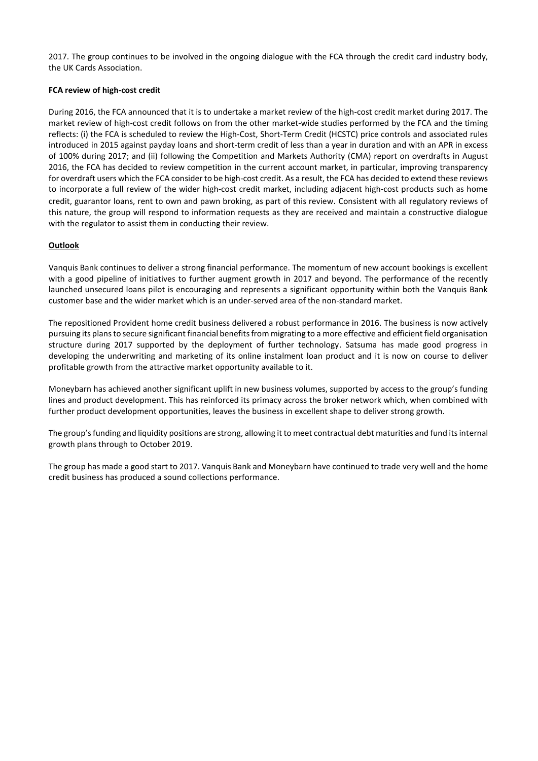2017. The group continues to be involved in the ongoing dialogue with the FCA through the credit card industry body, the UK Cards Association.

# **FCA review of high-cost credit**

During 2016, the FCA announced that it is to undertake a market review of the high-cost credit market during 2017. The market review of high-cost credit follows on from the other market-wide studies performed by the FCA and the timing reflects: (i) the FCA is scheduled to review the High-Cost, Short-Term Credit (HCSTC) price controls and associated rules introduced in 2015 against payday loans and short-term credit of less than a year in duration and with an APR in excess of 100% during 2017; and (ii) following the Competition and Markets Authority (CMA) report on overdrafts in August 2016, the FCA has decided to review competition in the current account market, in particular, improving transparency for overdraft users which the FCA consider to be high-cost credit. As a result, the FCA has decided to extend these reviews to incorporate a full review of the wider high-cost credit market, including adjacent high-cost products such as home credit, guarantor loans, rent to own and pawn broking, as part of this review. Consistent with all regulatory reviews of this nature, the group will respond to information requests as they are received and maintain a constructive dialogue with the regulator to assist them in conducting their review.

# **Outlook**

Vanquis Bank continues to deliver a strong financial performance. The momentum of new account bookings is excellent with a good pipeline of initiatives to further augment growth in 2017 and beyond. The performance of the recently launched unsecured loans pilot is encouraging and represents a significant opportunity within both the Vanquis Bank customer base and the wider market which is an under-served area of the non-standard market.

The repositioned Provident home credit business delivered a robust performance in 2016. The business is now actively pursuing its plans to secure significant financial benefits from migrating to a more effective and efficient field organisation structure during 2017 supported by the deployment of further technology. Satsuma has made good progress in developing the underwriting and marketing of its online instalment loan product and it is now on course to deliver profitable growth from the attractive market opportunity available to it.

Moneybarn has achieved another significant uplift in new business volumes, supported by access to the group's funding lines and product development. This has reinforced its primacy across the broker network which, when combined with further product development opportunities, leaves the business in excellent shape to deliver strong growth.

The group's funding and liquidity positions are strong, allowing it to meet contractual debt maturities and fund its internal growth plans through to October 2019.

The group has made a good start to 2017. Vanquis Bank and Moneybarn have continued to trade very well and the home credit business has produced a sound collections performance.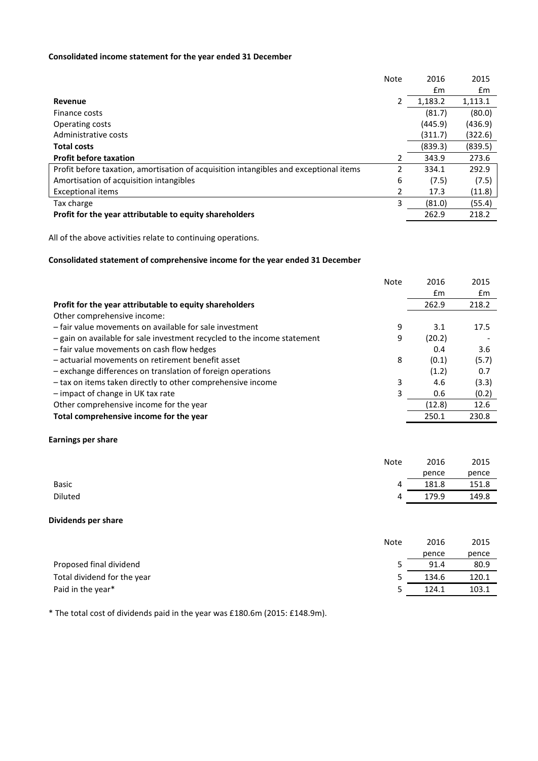# **Consolidated income statement for the year ended 31 December**

|                                                                                       | Note | 2016    | 2015    |
|---------------------------------------------------------------------------------------|------|---------|---------|
|                                                                                       |      | £m      | £m      |
| Revenue                                                                               | 2    | 1,183.2 | 1,113.1 |
| Finance costs                                                                         |      | (81.7)  | (80.0)  |
| Operating costs                                                                       |      | (445.9) | (436.9) |
| Administrative costs                                                                  |      | (311.7) | (322.6) |
| <b>Total costs</b>                                                                    |      | (839.3) | (839.5) |
| <b>Profit before taxation</b>                                                         | 2    | 343.9   | 273.6   |
| Profit before taxation, amortisation of acquisition intangibles and exceptional items | 2    | 334.1   | 292.9   |
| Amortisation of acquisition intangibles                                               | 6    | (7.5)   | (7.5)   |
| <b>Exceptional items</b>                                                              | 2    | 17.3    | (11.8)  |
| Tax charge                                                                            | 3    | (81.0)  | (55.4)  |
| Profit for the year attributable to equity shareholders                               |      | 262.9   | 218.2   |

All of the above activities relate to continuing operations.

# **Consolidated statement of comprehensive income for the year ended 31 December**

|                                                                          | <b>Note</b> | 2016          | 2015  |
|--------------------------------------------------------------------------|-------------|---------------|-------|
|                                                                          |             | $\mathsf{fm}$ | £m    |
| Profit for the year attributable to equity shareholders                  |             | 262.9         | 218.2 |
| Other comprehensive income:                                              |             |               |       |
| - fair value movements on available for sale investment                  | 9           | 3.1           | 17.5  |
| - gain on available for sale investment recycled to the income statement | 9           | (20.2)        |       |
| - fair value movements on cash flow hedges                               |             | 0.4           | 3.6   |
| - actuarial movements on retirement benefit asset                        | 8           | (0.1)         | (5.7) |
| - exchange differences on translation of foreign operations              |             | (1.2)         | 0.7   |
| - tax on items taken directly to other comprehensive income              | 3           | 4.6           | (3.3) |
| - impact of change in UK tax rate                                        | 3           | 0.6           | (0.2) |
| Other comprehensive income for the year                                  |             | (12.8)        | 12.6  |
| Total comprehensive income for the year                                  |             | 250.1         | 230.8 |

# **Earnings per share**

|              | <b>Note</b> | 2016  | 2015  |
|--------------|-------------|-------|-------|
|              |             | pence | pence |
| <b>Basic</b> | 4           | 181.8 | 151.8 |
| Diluted      | 4           | 179.9 | 149.8 |

# **Dividends per share**

|                             | Note | 2016  | 2015  |
|-----------------------------|------|-------|-------|
|                             |      | pence | pence |
| Proposed final dividend     |      | 91.4  | 80.9  |
| Total dividend for the year | 5    | 134.6 | 120.1 |
| Paid in the year*           | כ    | 124.1 | 103.1 |

\* The total cost of dividends paid in the year was £180.6m (2015: £148.9m).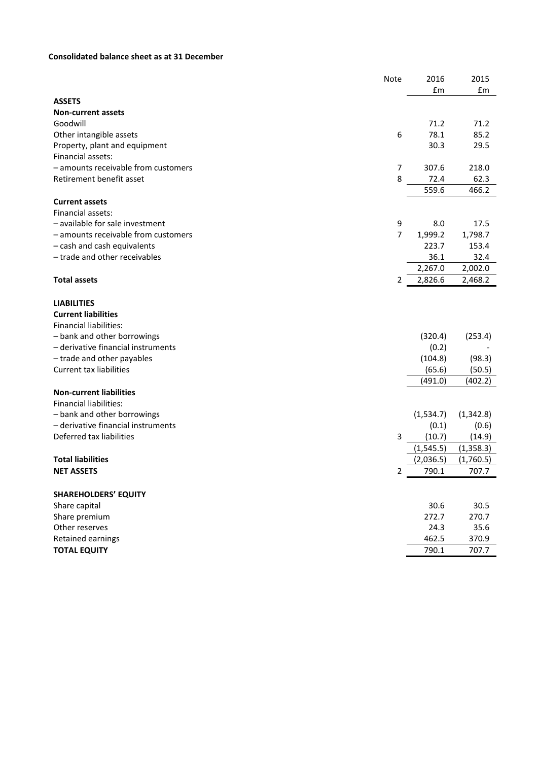# **Consolidated balance sheet as at 31 December**

|                                     | <b>Note</b>    | 2016       | 2015       |
|-------------------------------------|----------------|------------|------------|
|                                     |                | £m         | £m         |
| <b>ASSETS</b>                       |                |            |            |
| <b>Non-current assets</b>           |                |            |            |
| Goodwill                            |                | 71.2       | 71.2       |
| Other intangible assets             | 6              | 78.1       | 85.2       |
| Property, plant and equipment       |                | 30.3       | 29.5       |
| Financial assets:                   |                |            |            |
| - amounts receivable from customers | 7              | 307.6      | 218.0      |
| Retirement benefit asset            | 8              | 72.4       | 62.3       |
|                                     |                | 559.6      | 466.2      |
| <b>Current assets</b>               |                |            |            |
| Financial assets:                   |                |            |            |
| - available for sale investment     | 9              | 8.0        | 17.5       |
| - amounts receivable from customers | $\overline{7}$ | 1,999.2    | 1,798.7    |
| - cash and cash equivalents         |                | 223.7      | 153.4      |
| - trade and other receivables       |                | 36.1       | 32.4       |
|                                     |                | 2,267.0    | 2,002.0    |
| <b>Total assets</b>                 | 2              | 2,826.6    | 2,468.2    |
| <b>LIABILITIES</b>                  |                |            |            |
| <b>Current liabilities</b>          |                |            |            |
| <b>Financial liabilities:</b>       |                |            |            |
| - bank and other borrowings         |                | (320.4)    | (253.4)    |
| - derivative financial instruments  |                | (0.2)      |            |
| - trade and other payables          |                | (104.8)    | (98.3)     |
| <b>Current tax liabilities</b>      |                | (65.6)     | (50.5)     |
|                                     |                | (491.0)    | (402.2)    |
| <b>Non-current liabilities</b>      |                |            |            |
| <b>Financial liabilities:</b>       |                |            |            |
| - bank and other borrowings         |                | (1,534.7)  | (1,342.8)  |
| - derivative financial instruments  |                | (0.1)      | (0.6)      |
| Deferred tax liabilities            | 3              | (10.7)     | (14.9)     |
|                                     |                | (1, 545.5) | (1, 358.3) |
| <b>Total liabilities</b>            |                | (2,036.5)  | (1,760.5)  |
| <b>NET ASSETS</b>                   | 2              | 790.1      | 707.7      |
| <b>SHAREHOLDERS' EQUITY</b>         |                |            |            |
| Share capital                       |                | 30.6       | 30.5       |
| Share premium                       |                | 272.7      | 270.7      |
| Other reserves                      |                | 24.3       | 35.6       |
| Retained earnings                   |                | 462.5      | 370.9      |
| <b>TOTAL EQUITY</b>                 |                | 790.1      | 707.7      |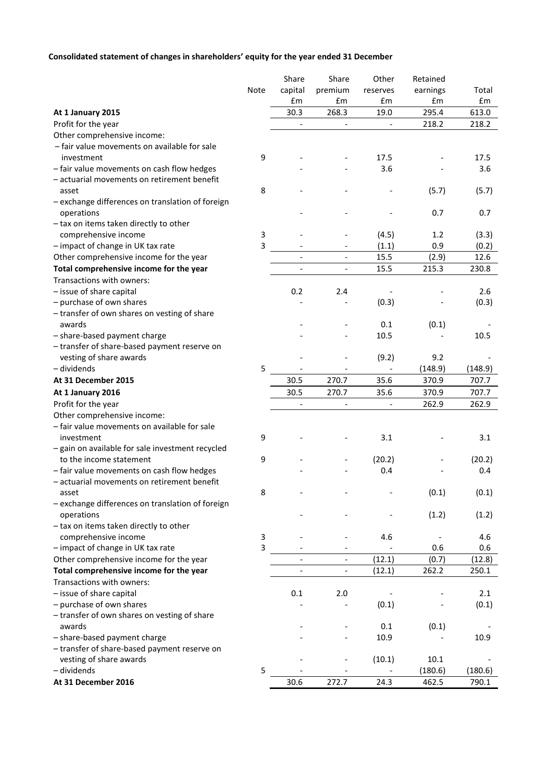# **Consolidated statement of changes in shareholders' equity for the year ended 31 December**

|                                                  |      | Share                    | Share                    | Other                    | Retained |         |
|--------------------------------------------------|------|--------------------------|--------------------------|--------------------------|----------|---------|
|                                                  | Note | capital                  | premium                  | reserves                 | earnings | Total   |
|                                                  |      | £m                       | £m                       | £m                       | £m       | £m      |
| At 1 January 2015                                |      | 30.3                     | 268.3                    | 19.0                     | 295.4    | 613.0   |
| Profit for the year                              |      |                          | $\overline{\phantom{a}}$ | $\overline{\phantom{a}}$ | 218.2    | 218.2   |
| Other comprehensive income:                      |      |                          |                          |                          |          |         |
| - fair value movements on available for sale     |      |                          |                          |                          |          |         |
| investment                                       | 9    |                          |                          | 17.5                     |          | 17.5    |
| - fair value movements on cash flow hedges       |      |                          |                          | 3.6                      |          | 3.6     |
| - actuarial movements on retirement benefit      |      |                          |                          |                          |          |         |
| asset                                            | 8    |                          |                          |                          | (5.7)    | (5.7)   |
| - exchange differences on translation of foreign |      |                          |                          |                          |          |         |
| operations                                       |      |                          |                          |                          | 0.7      | 0.7     |
| - tax on items taken directly to other           |      |                          |                          |                          |          |         |
| comprehensive income                             | 3    |                          |                          | (4.5)                    | 1.2      | (3.3)   |
| - impact of change in UK tax rate                | 3    |                          |                          | (1.1)                    | 0.9      | (0.2)   |
| Other comprehensive income for the year          |      | $\overline{\phantom{a}}$ | $\overline{\phantom{a}}$ | 15.5                     | (2.9)    | 12.6    |
| Total comprehensive income for the year          |      |                          | $\overline{\phantom{a}}$ | 15.5                     | 215.3    | 230.8   |
| Transactions with owners:                        |      |                          |                          |                          |          |         |
| - issue of share capital                         |      | 0.2                      | 2.4                      |                          |          | 2.6     |
| - purchase of own shares                         |      |                          |                          | (0.3)                    |          | (0.3)   |
| - transfer of own shares on vesting of share     |      |                          |                          |                          |          |         |
| awards                                           |      |                          |                          | 0.1                      | (0.1)    |         |
| - share-based payment charge                     |      |                          |                          | 10.5                     |          | 10.5    |
| - transfer of share-based payment reserve on     |      |                          |                          |                          |          |         |
| vesting of share awards                          |      |                          |                          | (9.2)                    | 9.2      |         |
| - dividends                                      | 5    |                          |                          |                          | (148.9)  | (148.9) |
| At 31 December 2015                              |      | 30.5                     | 270.7                    | 35.6                     | 370.9    | 707.7   |
| At 1 January 2016                                |      | 30.5                     | 270.7                    | 35.6                     | 370.9    | 707.7   |
| Profit for the year                              |      |                          | $\overline{\phantom{0}}$ |                          | 262.9    | 262.9   |
| Other comprehensive income:                      |      |                          |                          |                          |          |         |
| - fair value movements on available for sale     |      |                          |                          |                          |          |         |
| investment                                       | 9    |                          |                          | 3.1                      |          | 3.1     |
| - gain on available for sale investment recycled |      |                          |                          |                          |          |         |
| to the income statement                          | 9    |                          |                          | (20.2)                   |          | (20.2)  |
| - fair value movements on cash flow hedges       |      |                          |                          | 0.4                      |          | 0.4     |
| actuarial movements on retirement benefit        |      |                          |                          |                          |          |         |
| asset                                            | 8    |                          |                          |                          | (0.1)    | (0.1)   |
| - exchange differences on translation of foreign |      |                          |                          |                          |          |         |
| operations                                       |      |                          |                          |                          | (1.2)    | (1.2)   |
| - tax on items taken directly to other           |      |                          |                          |                          |          |         |
| comprehensive income                             | 3    |                          |                          | 4.6                      |          | 4.6     |
| - impact of change in UK tax rate                | 3    |                          |                          |                          | 0.6      | 0.6     |
| Other comprehensive income for the year          |      |                          | $\overline{a}$           | (12.1)                   | (0.7)    | (12.8)  |
| Total comprehensive income for the year          |      | $\qquad \qquad -$        | $\qquad \qquad -$        | (12.1)                   | 262.2    | 250.1   |
| Transactions with owners:                        |      |                          |                          |                          |          |         |
| - issue of share capital                         |      | 0.1                      | 2.0                      |                          |          | 2.1     |
| - purchase of own shares                         |      |                          |                          | (0.1)                    |          | (0.1)   |
| - transfer of own shares on vesting of share     |      |                          |                          |                          |          |         |
| awards                                           |      |                          |                          | 0.1                      | (0.1)    |         |
| - share-based payment charge                     |      |                          |                          | 10.9                     |          | 10.9    |
| - transfer of share-based payment reserve on     |      |                          |                          |                          |          |         |
| vesting of share awards                          |      |                          |                          | (10.1)                   | 10.1     |         |
| - dividends                                      | 5    |                          |                          |                          | (180.6)  | (180.6) |
| At 31 December 2016                              |      | 30.6                     | 272.7                    | 24.3                     | 462.5    | 790.1   |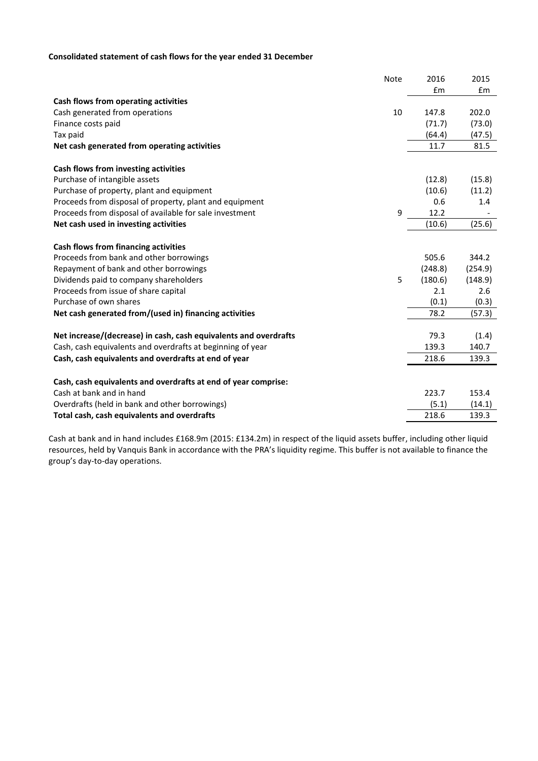# **Consolidated statement of cash flows for the year ended 31 December**

|                                                                  | <b>Note</b> | 2016    | 2015    |
|------------------------------------------------------------------|-------------|---------|---------|
|                                                                  |             | £m      | £m      |
| Cash flows from operating activities                             |             |         |         |
| Cash generated from operations                                   | 10          | 147.8   | 202.0   |
| Finance costs paid                                               |             | (71.7)  | (73.0)  |
| Tax paid                                                         |             | (64.4)  | (47.5)  |
| Net cash generated from operating activities                     |             | 11.7    | 81.5    |
| Cash flows from investing activities                             |             |         |         |
| Purchase of intangible assets                                    |             | (12.8)  | (15.8)  |
| Purchase of property, plant and equipment                        |             | (10.6)  | (11.2)  |
| Proceeds from disposal of property, plant and equipment          |             | 0.6     | 1.4     |
| Proceeds from disposal of available for sale investment          | 9           | 12.2    |         |
| Net cash used in investing activities                            |             | (10.6)  | (25.6)  |
| Cash flows from financing activities                             |             |         |         |
| Proceeds from bank and other borrowings                          |             | 505.6   | 344.2   |
| Repayment of bank and other borrowings                           |             | (248.8) | (254.9) |
| Dividends paid to company shareholders                           | 5           | (180.6) | (148.9) |
| Proceeds from issue of share capital                             |             | 2.1     | 2.6     |
| Purchase of own shares                                           |             | (0.1)   | (0.3)   |
| Net cash generated from/(used in) financing activities           |             | 78.2    | (57.3)  |
| Net increase/(decrease) in cash, cash equivalents and overdrafts |             | 79.3    | (1.4)   |
| Cash, cash equivalents and overdrafts at beginning of year       |             | 139.3   | 140.7   |
| Cash, cash equivalents and overdrafts at end of year             |             | 218.6   | 139.3   |
|                                                                  |             |         |         |
| Cash, cash equivalents and overdrafts at end of year comprise:   |             |         |         |
| Cash at bank and in hand                                         |             | 223.7   | 153.4   |
| Overdrafts (held in bank and other borrowings)                   |             | (5.1)   | (14.1)  |
| Total cash, cash equivalents and overdrafts                      |             | 218.6   | 139.3   |

Cash at bank and in hand includes £168.9m (2015: £134.2m) in respect of the liquid assets buffer, including other liquid resources, held by Vanquis Bank in accordance with the PRA's liquidity regime. This buffer is not available to finance the group's day-to-day operations.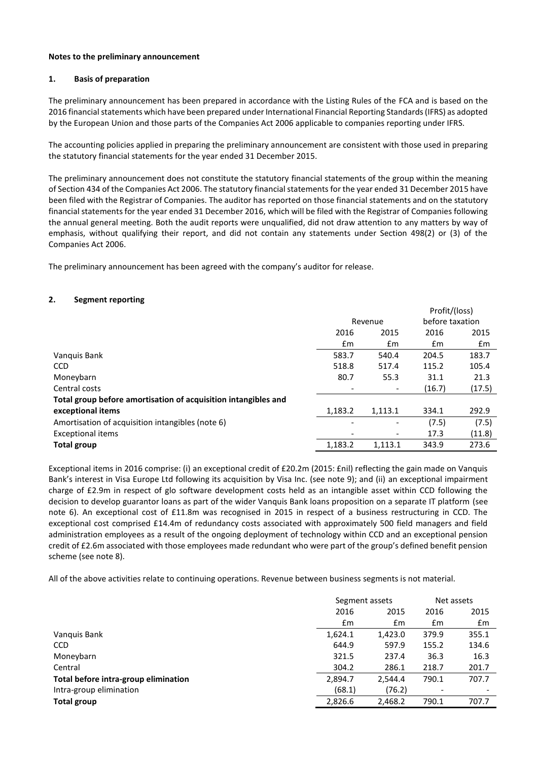### **Notes to the preliminary announcement**

### **1. Basis of preparation**

The preliminary announcement has been prepared in accordance with the Listing Rules of the FCA and is based on the 2016 financial statements which have been prepared under International Financial Reporting Standards (IFRS) as adopted by the European Union and those parts of the Companies Act 2006 applicable to companies reporting under IFRS.

The accounting policies applied in preparing the preliminary announcement are consistent with those used in preparing the statutory financial statements for the year ended 31 December 2015.

The preliminary announcement does not constitute the statutory financial statements of the group within the meaning of Section 434 of the Companies Act 2006. The statutory financial statements for the year ended 31 December 2015 have been filed with the Registrar of Companies. The auditor has reported on those financial statements and on the statutory financial statements for the year ended 31 December 2016, which will be filed with the Registrar of Companies following the annual general meeting. Both the audit reports were unqualified, did not draw attention to any matters by way of emphasis, without qualifying their report, and did not contain any statements under Section 498(2) or (3) of the Companies Act 2006.

The preliminary announcement has been agreed with the company's auditor for release.

### **2. Segment reporting**

|                                                                |                          |         | Profit/(loss)   |        |
|----------------------------------------------------------------|--------------------------|---------|-----------------|--------|
|                                                                | Revenue                  |         | before taxation |        |
|                                                                | 2016                     | 2015    | 2016            | 2015   |
|                                                                | £m                       | £m      | £m              | £m     |
| Vanquis Bank                                                   | 583.7                    | 540.4   | 204.5           | 183.7  |
| <b>CCD</b>                                                     | 518.8                    | 517.4   | 115.2           | 105.4  |
| Moneybarn                                                      | 80.7                     | 55.3    | 31.1            | 21.3   |
| Central costs                                                  | $\overline{\phantom{a}}$ |         | (16.7)          | (17.5) |
| Total group before amortisation of acquisition intangibles and |                          |         |                 |        |
| exceptional items                                              | 1,183.2                  | 1,113.1 | 334.1           | 292.9  |
| Amortisation of acquisition intangibles (note 6)               | $\overline{\phantom{a}}$ | -       | (7.5)           | (7.5)  |
| <b>Exceptional items</b>                                       | $\overline{\phantom{a}}$ | -       | 17.3            | (11.8) |
| <b>Total group</b>                                             | 1,183.2                  | 1.113.1 | 343.9           | 273.6  |

Exceptional items in 2016 comprise: (i) an exceptional credit of £20.2m (2015: £nil) reflecting the gain made on Vanquis Bank's interest in Visa Europe Ltd following its acquisition by Visa Inc. (see note 9); and (ii) an exceptional impairment charge of £2.9m in respect of glo software development costs held as an intangible asset within CCD following the decision to develop guarantor loans as part of the wider Vanquis Bank loans proposition on a separate IT platform (see note 6). An exceptional cost of £11.8m was recognised in 2015 in respect of a business restructuring in CCD. The exceptional cost comprised £14.4m of redundancy costs associated with approximately 500 field managers and field administration employees as a result of the ongoing deployment of technology within CCD and an exceptional pension credit of £2.6m associated with those employees made redundant who were part of the group's defined benefit pension scheme (see note 8).

All of the above activities relate to continuing operations. Revenue between business segments is not material.

| Segment assets |         | Net assets |       |
|----------------|---------|------------|-------|
| 2016           | 2015    | 2016       | 2015  |
| Em             | £m      | £m         | £m    |
| 1,624.1        | 1,423.0 | 379.9      | 355.1 |
| 644.9          | 597.9   | 155.2      | 134.6 |
| 321.5          | 237.4   | 36.3       | 16.3  |
| 304.2          | 286.1   | 218.7      | 201.7 |
| 2,894.7        | 2.544.4 | 790.1      | 707.7 |
| (68.1)         | (76.2)  |            |       |
| 2,826.6        | 2,468.2 | 790.1      | 707.7 |
|                |         |            |       |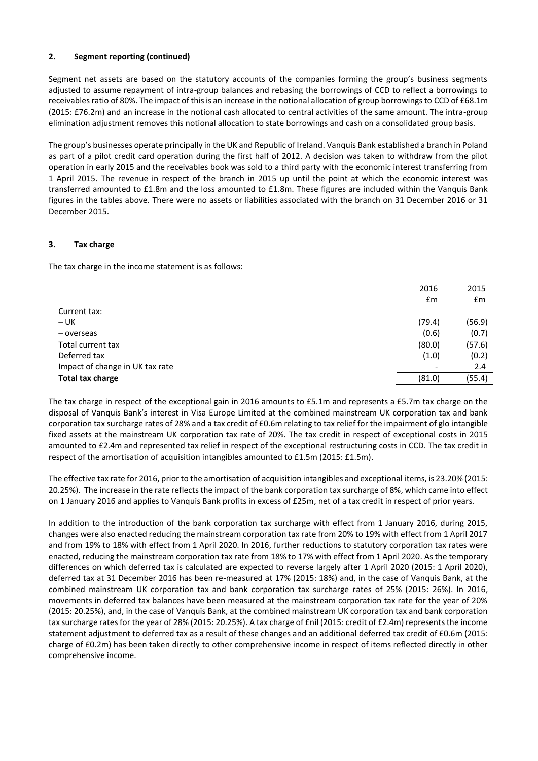# **2. Segment reporting (continued)**

Segment net assets are based on the statutory accounts of the companies forming the group's business segments adjusted to assume repayment of intra-group balances and rebasing the borrowings of CCD to reflect a borrowings to receivables ratio of 80%. The impact of this is an increase in the notional allocation of group borrowings to CCD of £68.1m (2015: £76.2m) and an increase in the notional cash allocated to central activities of the same amount. The intra-group elimination adjustment removes this notional allocation to state borrowings and cash on a consolidated group basis.

The group's businesses operate principally in the UK and Republic of Ireland. Vanquis Bank established a branch in Poland as part of a pilot credit card operation during the first half of 2012. A decision was taken to withdraw from the pilot operation in early 2015 and the receivables book was sold to a third party with the economic interest transferring from 1 April 2015. The revenue in respect of the branch in 2015 up until the point at which the economic interest was transferred amounted to £1.8m and the loss amounted to £1.8m. These figures are included within the Vanquis Bank figures in the tables above. There were no assets or liabilities associated with the branch on 31 December 2016 or 31 December 2015.

# **3. Tax charge**

The tax charge in the income statement is as follows:

| 2016   | 2015   |
|--------|--------|
| Em     | £m     |
|        |        |
| (79.4) | (56.9) |
| (0.6)  | (0.7)  |
| (80.0) | (57.6) |
| (1.0)  | (0.2)  |
|        | 2.4    |
| (81.0) | (55.4) |
|        |        |

The tax charge in respect of the exceptional gain in 2016 amounts to £5.1m and represents a £5.7m tax charge on the disposal of Vanquis Bank's interest in Visa Europe Limited at the combined mainstream UK corporation tax and bank corporation tax surcharge rates of 28% and a tax credit of £0.6m relating to tax relief for the impairment of glo intangible fixed assets at the mainstream UK corporation tax rate of 20%. The tax credit in respect of exceptional costs in 2015 amounted to £2.4m and represented tax relief in respect of the exceptional restructuring costs in CCD. The tax credit in respect of the amortisation of acquisition intangibles amounted to £1.5m (2015: £1.5m).

The effective tax rate for 2016, prior to the amortisation of acquisition intangibles and exceptional items, is 23.20% (2015: 20.25%). The increase in the rate reflects the impact of the bank corporation tax surcharge of 8%, which came into effect on 1 January 2016 and applies to Vanquis Bank profits in excess of £25m, net of a tax credit in respect of prior years.

In addition to the introduction of the bank corporation tax surcharge with effect from 1 January 2016, during 2015, changes were also enacted reducing the mainstream corporation tax rate from 20% to 19% with effect from 1 April 2017 and from 19% to 18% with effect from 1 April 2020. In 2016, further reductions to statutory corporation tax rates were enacted, reducing the mainstream corporation tax rate from 18% to 17% with effect from 1 April 2020. As the temporary differences on which deferred tax is calculated are expected to reverse largely after 1 April 2020 (2015: 1 April 2020), deferred tax at 31 December 2016 has been re-measured at 17% (2015: 18%) and, in the case of Vanquis Bank, at the combined mainstream UK corporation tax and bank corporation tax surcharge rates of 25% (2015: 26%). In 2016, movements in deferred tax balances have been measured at the mainstream corporation tax rate for the year of 20% (2015: 20.25%), and, in the case of Vanquis Bank, at the combined mainstream UK corporation tax and bank corporation tax surcharge rates for the year of 28% (2015: 20.25%). A tax charge of £nil (2015: credit of £2.4m) represents the income statement adjustment to deferred tax as a result of these changes and an additional deferred tax credit of £0.6m (2015: charge of £0.2m) has been taken directly to other comprehensive income in respect of items reflected directly in other comprehensive income.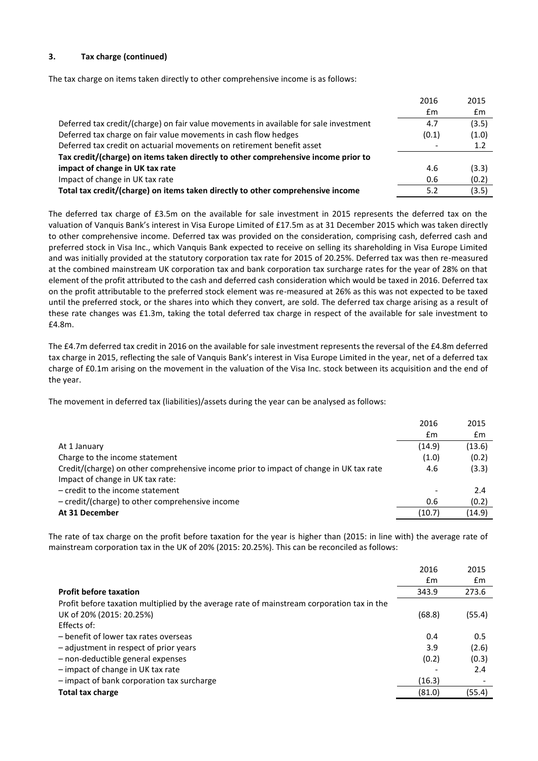# **3. Tax charge (continued)**

The tax charge on items taken directly to other comprehensive income is as follows:

|                                                                                       | 2016          | 2015  |
|---------------------------------------------------------------------------------------|---------------|-------|
|                                                                                       | $\mathsf{fm}$ | £m    |
| Deferred tax credit/(charge) on fair value movements in available for sale investment | 4.7           | (3.5) |
| Deferred tax charge on fair value movements in cash flow hedges                       | (0.1)         | (1.0) |
| Deferred tax credit on actuarial movements on retirement benefit asset                |               | 1.2   |
| Tax credit/(charge) on items taken directly to other comprehensive income prior to    |               |       |
| impact of change in UK tax rate                                                       | 4.6           | (3.3) |
| Impact of change in UK tax rate                                                       | 0.6           | (0.2) |
| Total tax credit/(charge) on items taken directly to other comprehensive income       | 5.2           | (3.5) |
|                                                                                       |               |       |

The deferred tax charge of £3.5m on the available for sale investment in 2015 represents the deferred tax on the valuation of Vanquis Bank's interest in Visa Europe Limited of £17.5m as at 31 December 2015 which was taken directly to other comprehensive income. Deferred tax was provided on the consideration, comprising cash, deferred cash and preferred stock in Visa Inc., which Vanquis Bank expected to receive on selling its shareholding in Visa Europe Limited and was initially provided at the statutory corporation tax rate for 2015 of 20.25%. Deferred tax was then re-measured at the combined mainstream UK corporation tax and bank corporation tax surcharge rates for the year of 28% on that element of the profit attributed to the cash and deferred cash consideration which would be taxed in 2016. Deferred tax on the profit attributable to the preferred stock element was re-measured at 26% as this was not expected to be taxed until the preferred stock, or the shares into which they convert, are sold. The deferred tax charge arising as a result of these rate changes was £1.3m, taking the total deferred tax charge in respect of the available for sale investment to £4.8m.

The £4.7m deferred tax credit in 2016 on the available for sale investment represents the reversal of the £4.8m deferred tax charge in 2015, reflecting the sale of Vanquis Bank's interest in Visa Europe Limited in the year, net of a deferred tax charge of £0.1m arising on the movement in the valuation of the Visa Inc. stock between its acquisition and the end of the year.

The movement in deferred tax (liabilities)/assets during the year can be analysed as follows:

|                                                                                        | 2016           | 2015           |
|----------------------------------------------------------------------------------------|----------------|----------------|
|                                                                                        | $\mathbf{f}$ m | $\mathbf{f}$ m |
| At 1 January                                                                           | (14.9)         | (13.6)         |
| Charge to the income statement                                                         | (1.0)          | (0.2)          |
| Credit/(charge) on other comprehensive income prior to impact of change in UK tax rate | 4.6            | (3.3)          |
| Impact of change in UK tax rate:                                                       |                |                |
| $-$ credit to the income statement                                                     |                | 2.4            |
| - credit/(charge) to other comprehensive income                                        | 0.6            | (0.2)          |
| At 31 December                                                                         | (10.7)         | (14.9)         |
|                                                                                        |                |                |

The rate of tax charge on the profit before taxation for the year is higher than (2015: in line with) the average rate of mainstream corporation tax in the UK of 20% (2015: 20.25%). This can be reconciled as follows:

|                                                                                            | 2016   | 2015   |
|--------------------------------------------------------------------------------------------|--------|--------|
|                                                                                            | £m     | £m     |
| <b>Profit before taxation</b>                                                              | 343.9  | 273.6  |
| Profit before taxation multiplied by the average rate of mainstream corporation tax in the |        |        |
| UK of 20% (2015: 20.25%)                                                                   | (68.8) | (55.4) |
| Effects of:                                                                                |        |        |
| - benefit of lower tax rates overseas                                                      | 0.4    | 0.5    |
| - adjustment in respect of prior years                                                     | 3.9    | (2.6)  |
| - non-deductible general expenses                                                          | (0.2)  | (0.3)  |
| - impact of change in UK tax rate                                                          |        | 2.4    |
| - impact of bank corporation tax surcharge                                                 | (16.3) |        |
| <b>Total tax charge</b>                                                                    | (81.0) | (55.4) |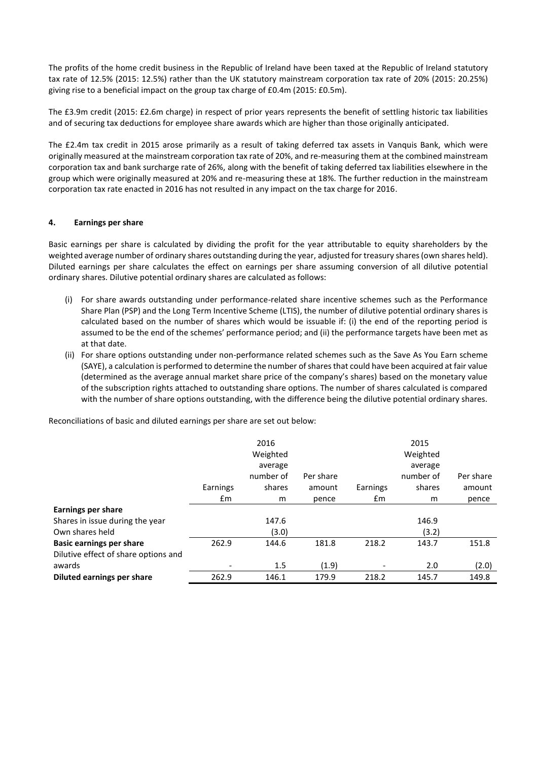The profits of the home credit business in the Republic of Ireland have been taxed at the Republic of Ireland statutory tax rate of 12.5% (2015: 12.5%) rather than the UK statutory mainstream corporation tax rate of 20% (2015: 20.25%) giving rise to a beneficial impact on the group tax charge of £0.4m (2015: £0.5m).

The £3.9m credit (2015: £2.6m charge) in respect of prior years represents the benefit of settling historic tax liabilities and of securing tax deductions for employee share awards which are higher than those originally anticipated.

The £2.4m tax credit in 2015 arose primarily as a result of taking deferred tax assets in Vanquis Bank, which were originally measured at the mainstream corporation tax rate of 20%, and re-measuring them at the combined mainstream corporation tax and bank surcharge rate of 26%, along with the benefit of taking deferred tax liabilities elsewhere in the group which were originally measured at 20% and re-measuring these at 18%. The further reduction in the mainstream corporation tax rate enacted in 2016 has not resulted in any impact on the tax charge for 2016.

# **4. Earnings per share**

Basic earnings per share is calculated by dividing the profit for the year attributable to equity shareholders by the weighted average number of ordinary shares outstanding during the year, adjusted for treasury shares (own shares held). Diluted earnings per share calculates the effect on earnings per share assuming conversion of all dilutive potential ordinary shares. Dilutive potential ordinary shares are calculated as follows:

- (i) For share awards outstanding under performance-related share incentive schemes such as the Performance Share Plan (PSP) and the Long Term Incentive Scheme (LTIS), the number of dilutive potential ordinary shares is calculated based on the number of shares which would be issuable if: (i) the end of the reporting period is assumed to be the end of the schemes' performance period; and (ii) the performance targets have been met as at that date.
- (ii) For share options outstanding under non-performance related schemes such as the Save As You Earn scheme (SAYE), a calculation is performed to determine the number of shares that could have been acquired at fair value (determined as the average annual market share price of the company's shares) based on the monetary value of the subscription rights attached to outstanding share options. The number of shares calculated is compared with the number of share options outstanding, with the difference being the dilutive potential ordinary shares.

Reconciliations of basic and diluted earnings per share are set out below:

|                                      |               | 2016<br>Weighted<br>average<br>number of | Per share |          | 2015<br>Weighted<br>average<br>number of | Per share |
|--------------------------------------|---------------|------------------------------------------|-----------|----------|------------------------------------------|-----------|
|                                      | Earnings      | shares                                   | amount    | Earnings | shares                                   | amount    |
|                                      | $\mathsf{fm}$ | m                                        | pence     | Em       | m                                        | pence     |
| Earnings per share                   |               |                                          |           |          |                                          |           |
| Shares in issue during the year      |               | 147.6                                    |           |          | 146.9                                    |           |
| Own shares held                      |               | (3.0)                                    |           |          | (3.2)                                    |           |
| <b>Basic earnings per share</b>      | 262.9         | 144.6                                    | 181.8     | 218.2    | 143.7                                    | 151.8     |
| Dilutive effect of share options and |               |                                          |           |          |                                          |           |
| awards                               |               | 1.5                                      | (1.9)     |          | 2.0                                      | (2.0)     |
| Diluted earnings per share           | 262.9         | 146.1                                    | 179.9     | 218.2    | 145.7                                    | 149.8     |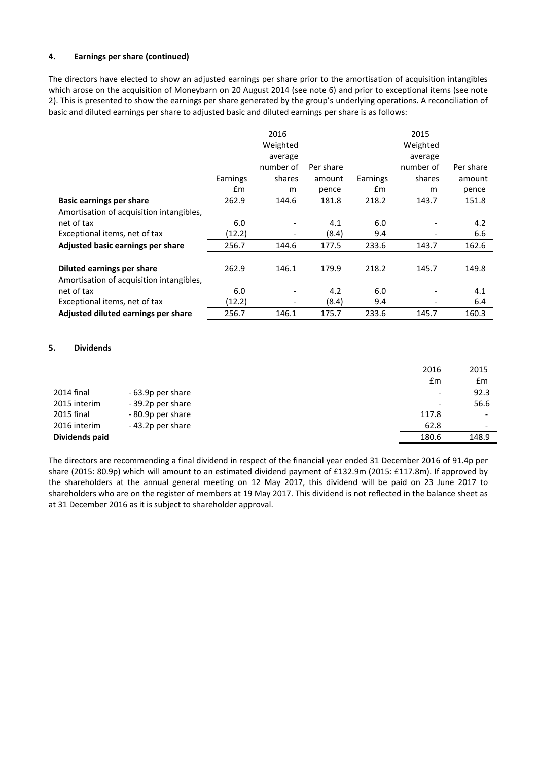# **4. Earnings per share (continued)**

The directors have elected to show an adjusted earnings per share prior to the amortisation of acquisition intangibles which arose on the acquisition of Moneybarn on 20 August 2014 (see note 6) and prior to exceptional items (see note 2). This is presented to show the earnings per share generated by the group's underlying operations. A reconciliation of basic and diluted earnings per share to adjusted basic and diluted earnings per share is as follows:

|                                          |          | 2016      |           |          | 2015      |           |
|------------------------------------------|----------|-----------|-----------|----------|-----------|-----------|
|                                          |          | Weighted  |           |          | Weighted  |           |
|                                          |          | average   |           |          | average   |           |
|                                          |          | number of | Per share |          | number of | Per share |
|                                          | Earnings | shares    | amount    | Earnings | shares    | amount    |
|                                          | £m       | m         | pence     | £m       | m         | pence     |
| <b>Basic earnings per share</b>          | 262.9    | 144.6     | 181.8     | 218.2    | 143.7     | 151.8     |
| Amortisation of acquisition intangibles, |          |           |           |          |           |           |
| net of tax                               | 6.0      |           | 4.1       | 6.0      |           | 4.2       |
| Exceptional items, net of tax            | (12.2)   |           | (8.4)     | 9.4      |           | 6.6       |
| Adjusted basic earnings per share        | 256.7    | 144.6     | 177.5     | 233.6    | 143.7     | 162.6     |
|                                          |          |           |           |          |           |           |
| Diluted earnings per share               | 262.9    | 146.1     | 179.9     | 218.2    | 145.7     | 149.8     |
| Amortisation of acquisition intangibles, |          |           |           |          |           |           |
| net of tax                               | 6.0      |           | 4.2       | 6.0      |           | 4.1       |
| Exceptional items, net of tax            | (12.2)   |           | (8.4)     | 9.4      |           | 6.4       |
| Adjusted diluted earnings per share      | 256.7    | 146.1     | 175.7     | 233.6    | 145.7     | 160.3     |

# **5. Dividends**

|                |                   | 2016                     | 2015                     |
|----------------|-------------------|--------------------------|--------------------------|
|                |                   | £m                       | £m                       |
| 2014 final     | - 63.9p per share | $\overline{\phantom{a}}$ | 92.3                     |
| 2015 interim   | - 39.2p per share | $\overline{\phantom{0}}$ | 56.6                     |
| 2015 final     | - 80.9p per share | 117.8                    |                          |
| 2016 interim   | -43.2p per share  | 62.8                     | $\overline{\phantom{0}}$ |
| Dividends paid |                   | 180.6                    | 148.9                    |

The directors are recommending a final dividend in respect of the financial year ended 31 December 2016 of 91.4p per share (2015: 80.9p) which will amount to an estimated dividend payment of £132.9m (2015: £117.8m). If approved by the shareholders at the annual general meeting on 12 May 2017, this dividend will be paid on 23 June 2017 to shareholders who are on the register of members at 19 May 2017. This dividend is not reflected in the balance sheet as at 31 December 2016 as it is subject to shareholder approval.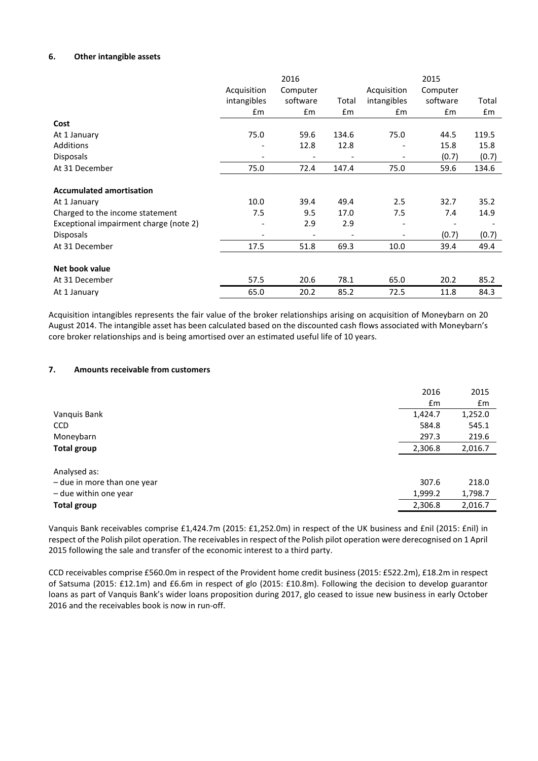# **6. Other intangible assets**

|                                        |             | 2016     |       |                              | 2015     |       |
|----------------------------------------|-------------|----------|-------|------------------------------|----------|-------|
|                                        | Acquisition | Computer |       | Acquisition                  | Computer |       |
|                                        | intangibles | software | Total | intangibles                  | software | Total |
|                                        | £m          | £m       | £m    | £m                           | £m       | £m    |
| Cost                                   |             |          |       |                              |          |       |
| At 1 January                           | 75.0        | 59.6     | 134.6 | 75.0                         | 44.5     | 119.5 |
| Additions                              |             | 12.8     | 12.8  |                              | 15.8     | 15.8  |
| <b>Disposals</b>                       |             |          |       |                              | (0.7)    | (0.7) |
| At 31 December                         | 75.0        | 72.4     | 147.4 | 75.0                         | 59.6     | 134.6 |
| <b>Accumulated amortisation</b>        |             |          |       |                              |          |       |
| At 1 January                           | 10.0        | 39.4     | 49.4  | 2.5                          | 32.7     | 35.2  |
| Charged to the income statement        | 7.5         | 9.5      | 17.0  | 7.5                          | 7.4      | 14.9  |
| Exceptional impairment charge (note 2) |             | 2.9      | 2.9   | ٠                            |          |       |
| <b>Disposals</b>                       |             |          |       | $\qquad \qquad \blacksquare$ | (0.7)    | (0.7) |
| At 31 December                         | 17.5        | 51.8     | 69.3  | 10.0                         | 39.4     | 49.4  |
|                                        |             |          |       |                              |          |       |
| Net book value                         |             |          |       |                              |          |       |
| At 31 December                         | 57.5        | 20.6     | 78.1  | 65.0                         | 20.2     | 85.2  |
| At 1 January                           | 65.0        | 20.2     | 85.2  | 72.5                         | 11.8     | 84.3  |

Acquisition intangibles represents the fair value of the broker relationships arising on acquisition of Moneybarn on 20 August 2014. The intangible asset has been calculated based on the discounted cash flows associated with Moneybarn's core broker relationships and is being amortised over an estimated useful life of 10 years.

# **7. Amounts receivable from customers**

|                             | 2016    | 2015    |
|-----------------------------|---------|---------|
|                             | £m      | £m      |
| Vanquis Bank                | 1,424.7 | 1,252.0 |
| <b>CCD</b>                  | 584.8   | 545.1   |
| Moneybarn                   | 297.3   | 219.6   |
| <b>Total group</b>          | 2,306.8 | 2,016.7 |
|                             |         |         |
| Analysed as:                |         |         |
| - due in more than one year | 307.6   | 218.0   |
| - due within one year       | 1,999.2 | 1,798.7 |
| <b>Total group</b>          | 2,306.8 | 2,016.7 |
|                             |         |         |

Vanquis Bank receivables comprise £1,424.7m (2015: £1,252.0m) in respect of the UK business and £nil (2015: £nil) in respect of the Polish pilot operation. The receivables in respect of the Polish pilot operation were derecognised on 1 April 2015 following the sale and transfer of the economic interest to a third party.

CCD receivables comprise £560.0m in respect of the Provident home credit business (2015: £522.2m), £18.2m in respect of Satsuma (2015: £12.1m) and £6.6m in respect of glo (2015: £10.8m). Following the decision to develop guarantor loans as part of Vanquis Bank's wider loans proposition during 2017, glo ceased to issue new business in early October 2016 and the receivables book is now in run-off.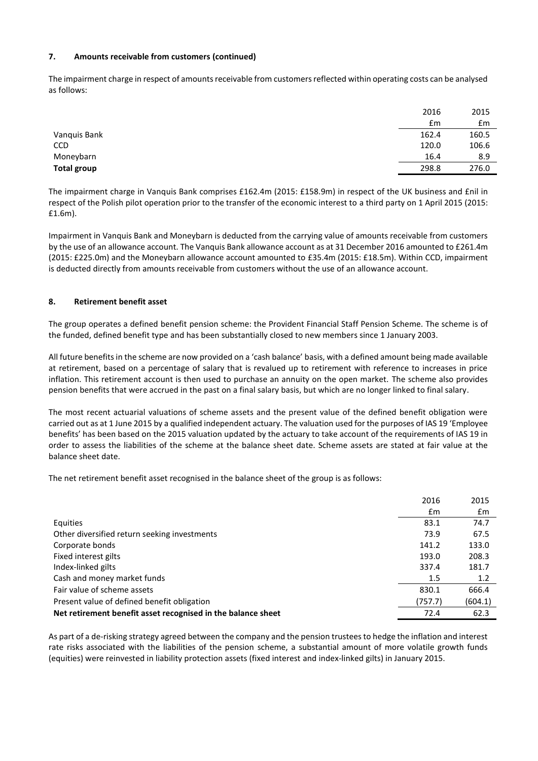# **7. Amounts receivable from customers (continued)**

The impairment charge in respect of amounts receivable from customers reflected within operating costs can be analysed as follows:

|              | 2016  | 2015  |
|--------------|-------|-------|
|              | £m    | £m    |
| Vanquis Bank | 162.4 | 160.5 |
| CCD          | 120.0 | 106.6 |
| Moneybarn    | 16.4  | 8.9   |
| Total group  | 298.8 | 276.0 |
|              |       |       |

The impairment charge in Vanquis Bank comprises £162.4m (2015: £158.9m) in respect of the UK business and £nil in respect of the Polish pilot operation prior to the transfer of the economic interest to a third party on 1 April 2015 (2015: £1.6m).

Impairment in Vanquis Bank and Moneybarn is deducted from the carrying value of amounts receivable from customers by the use of an allowance account. The Vanquis Bank allowance account as at 31 December 2016 amounted to £261.4m (2015: £225.0m) and the Moneybarn allowance account amounted to £35.4m (2015: £18.5m). Within CCD, impairment is deducted directly from amounts receivable from customers without the use of an allowance account.

# **8. Retirement benefit asset**

The group operates a defined benefit pension scheme: the Provident Financial Staff Pension Scheme. The scheme is of the funded, defined benefit type and has been substantially closed to new members since 1 January 2003.

All future benefits in the scheme are now provided on a 'cash balance' basis, with a defined amount being made available at retirement, based on a percentage of salary that is revalued up to retirement with reference to increases in price inflation. This retirement account is then used to purchase an annuity on the open market. The scheme also provides pension benefits that were accrued in the past on a final salary basis, but which are no longer linked to final salary.

The most recent actuarial valuations of scheme assets and the present value of the defined benefit obligation were carried out as at 1 June 2015 by a qualified independent actuary. The valuation used for the purposes of IAS 19 'Employee benefits' has been based on the 2015 valuation updated by the actuary to take account of the requirements of IAS 19 in order to assess the liabilities of the scheme at the balance sheet date. Scheme assets are stated at fair value at the balance sheet date.

The net retirement benefit asset recognised in the balance sheet of the group is as follows:

|                                                              | 2016    | 2015    |
|--------------------------------------------------------------|---------|---------|
|                                                              | £m      | £m      |
| Equities                                                     | 83.1    | 74.7    |
| Other diversified return seeking investments                 | 73.9    | 67.5    |
| Corporate bonds                                              | 141.2   | 133.0   |
| Fixed interest gilts                                         | 193.0   | 208.3   |
| Index-linked gilts                                           | 337.4   | 181.7   |
| Cash and money market funds                                  | 1.5     | 1.2     |
| Fair value of scheme assets                                  | 830.1   | 666.4   |
| Present value of defined benefit obligation                  | (757.7) | (604.1) |
| Net retirement benefit asset recognised in the balance sheet | 72.4    | 62.3    |

As part of a de-risking strategy agreed between the company and the pension trustees to hedge the inflation and interest rate risks associated with the liabilities of the pension scheme, a substantial amount of more volatile growth funds (equities) were reinvested in liability protection assets (fixed interest and index-linked gilts) in January 2015.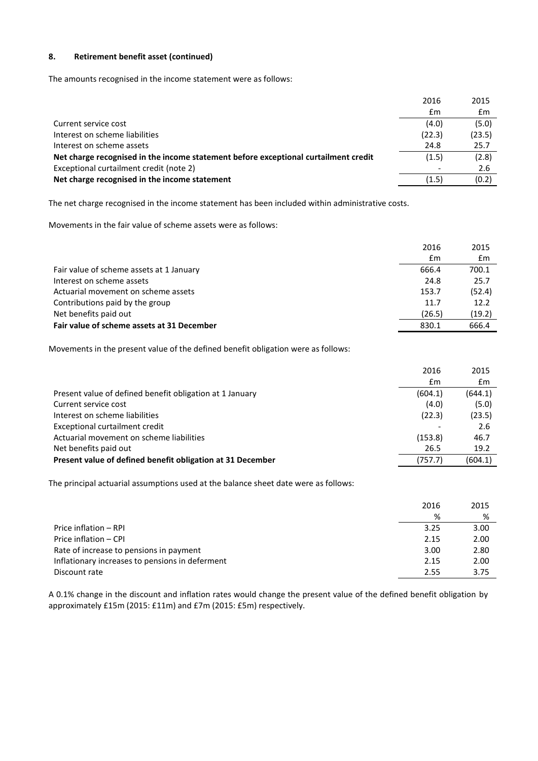# **8. Retirement benefit asset (continued)**

The amounts recognised in the income statement were as follows:

|                                                                                     | 2016   | 2015   |
|-------------------------------------------------------------------------------------|--------|--------|
|                                                                                     | £m     | £m     |
| Current service cost                                                                | (4.0)  | (5.0)  |
| Interest on scheme liabilities                                                      | (22.3) | (23.5) |
| Interest on scheme assets                                                           | 24.8   | 25.7   |
| Net charge recognised in the income statement before exceptional curtailment credit | (1.5)  | (2.8)  |
| Exceptional curtailment credit (note 2)                                             |        | 2.6    |
| Net charge recognised in the income statement                                       | (1.5)  | (0.2)  |
|                                                                                     |        |        |

The net charge recognised in the income statement has been included within administrative costs.

Movements in the fair value of scheme assets were as follows:

|                                            | 2016   | 2015   |
|--------------------------------------------|--------|--------|
|                                            | £m     | £m     |
| Fair value of scheme assets at 1 January   | 666.4  | 700.1  |
| Interest on scheme assets                  | 24.8   | 25.7   |
| Actuarial movement on scheme assets        | 153.7  | (52.4) |
| Contributions paid by the group            | 11.7   | 12.2   |
| Net benefits paid out                      | (26.5) | (19.2) |
| Fair value of scheme assets at 31 December | 830.1  | 666.4  |

Movements in the present value of the defined benefit obligation were as follows:

|                                                            | 2016    | 2015    |
|------------------------------------------------------------|---------|---------|
|                                                            | £m      | £m      |
| Present value of defined benefit obligation at 1 January   | (604.1) | (644.1) |
| Current service cost                                       | (4.0)   | (5.0)   |
| Interest on scheme liabilities                             | (22.3)  | (23.5)  |
| Exceptional curtailment credit                             |         | 2.6     |
| Actuarial movement on scheme liabilities                   | (153.8) | 46.7    |
| Net benefits paid out                                      | 26.5    | 19.2    |
| Present value of defined benefit obligation at 31 December | (757.7) | (604.1) |

The principal actuarial assumptions used at the balance sheet date were as follows:

|                                                 | 2016 | 2015 |
|-------------------------------------------------|------|------|
|                                                 | %    | ℅    |
| Price inflation - RPI                           | 3.25 | 3.00 |
| Price inflation - CPI                           | 2.15 | 2.00 |
| Rate of increase to pensions in payment         | 3.00 | 2.80 |
| Inflationary increases to pensions in deferment | 2.15 | 2.00 |
| Discount rate                                   | 2.55 | 3.75 |

A 0.1% change in the discount and inflation rates would change the present value of the defined benefit obligation by approximately £15m (2015: £11m) and £7m (2015: £5m) respectively.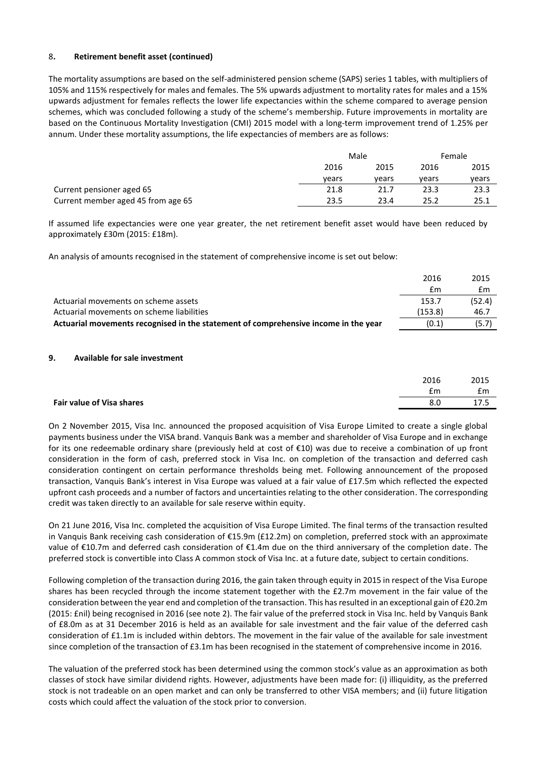### 8**. Retirement benefit asset (continued)**

The mortality assumptions are based on the self-administered pension scheme (SAPS) series 1 tables, with multipliers of 105% and 115% respectively for males and females. The 5% upwards adjustment to mortality rates for males and a 15% upwards adjustment for females reflects the lower life expectancies within the scheme compared to average pension schemes, which was concluded following a study of the scheme's membership. Future improvements in mortality are based on the Continuous Mortality Investigation (CMI) 2015 model with a long-term improvement trend of 1.25% per annum. Under these mortality assumptions, the life expectancies of members are as follows:

|                                    |       | Male  |       | Female |  |
|------------------------------------|-------|-------|-------|--------|--|
|                                    | 2016  | 2015  | 2016  | 2015   |  |
|                                    | vears | vears | vears | vears  |  |
| Current pensioner aged 65          | 21.8  | 21.7  | 23.3  | 23.3   |  |
| Current member aged 45 from age 65 | 23.5  | 23.4  | 25.2  | 25.1   |  |

If assumed life expectancies were one year greater, the net retirement benefit asset would have been reduced by approximately £30m (2015: £18m).

An analysis of amounts recognised in the statement of comprehensive income is set out below:

|                                                                                     | 2016    | 2015   |
|-------------------------------------------------------------------------------------|---------|--------|
|                                                                                     | £m      | £m     |
| Actuarial movements on scheme assets                                                | 153.7   | (52.4) |
| Actuarial movements on scheme liabilities                                           | (153.8) | 46.7   |
| Actuarial movements recognised in the statement of comprehensive income in the year | (0.1)   | (5.7)  |

### **9. Available for sale investment**

|                           | 2016 | 2015 |
|---------------------------|------|------|
|                           | £m   | £m   |
| Fair value of Visa shares | 8.0  | ᅩᄼ…  |
|                           |      |      |

On 2 November 2015, Visa Inc. announced the proposed acquisition of Visa Europe Limited to create a single global payments business under the VISA brand. Vanquis Bank was a member and shareholder of Visa Europe and in exchange for its one redeemable ordinary share (previously held at cost of €10) was due to receive a combination of up front consideration in the form of cash, preferred stock in Visa Inc. on completion of the transaction and deferred cash consideration contingent on certain performance thresholds being met. Following announcement of the proposed transaction, Vanquis Bank's interest in Visa Europe was valued at a fair value of £17.5m which reflected the expected upfront cash proceeds and a number of factors and uncertainties relating to the other consideration. The corresponding credit was taken directly to an available for sale reserve within equity.

On 21 June 2016, Visa Inc. completed the acquisition of Visa Europe Limited. The final terms of the transaction resulted in Vanquis Bank receiving cash consideration of €15.9m (£12.2m) on completion, preferred stock with an approximate value of €10.7m and deferred cash consideration of €1.4m due on the third anniversary of the completion date. The preferred stock is convertible into Class A common stock of Visa Inc. at a future date, subject to certain conditions.

Following completion of the transaction during 2016, the gain taken through equity in 2015 in respect of the Visa Europe shares has been recycled through the income statement together with the £2.7m movement in the fair value of the consideration between the year end and completion of the transaction. This has resulted in an exceptional gain of £20.2m (2015: £nil) being recognised in 2016 (see note 2). The fair value of the preferred stock in Visa Inc. held by Vanquis Bank of £8.0m as at 31 December 2016 is held as an available for sale investment and the fair value of the deferred cash consideration of £1.1m is included within debtors. The movement in the fair value of the available for sale investment since completion of the transaction of £3.1m has been recognised in the statement of comprehensive income in 2016.

The valuation of the preferred stock has been determined using the common stock's value as an approximation as both classes of stock have similar dividend rights. However, adjustments have been made for: (i) illiquidity, as the preferred stock is not tradeable on an open market and can only be transferred to other VISA members; and (ii) future litigation costs which could affect the valuation of the stock prior to conversion.